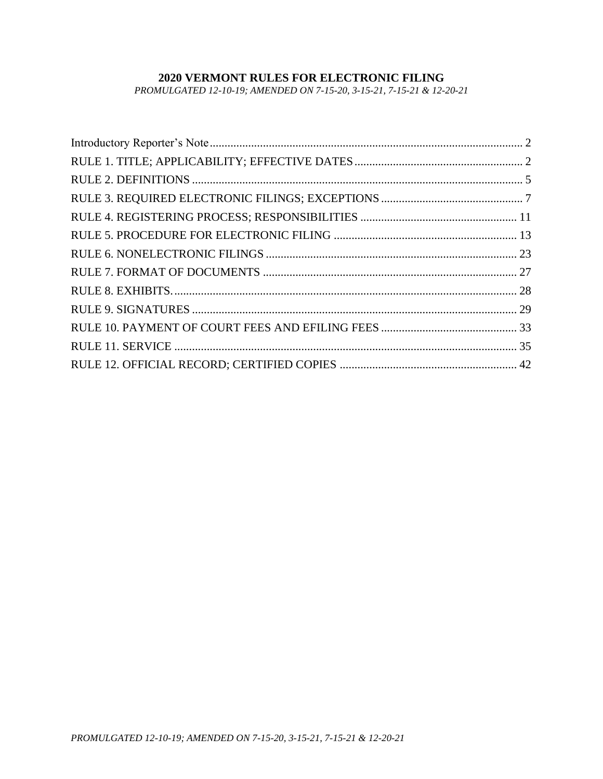# **2020 VERMONT RULES FOR ELECTRONIC FILING**

*PROMULGATED 12-10-19; AMENDED ON 7-15-20, 3-15-21, 7-15-21 & 12-20-21*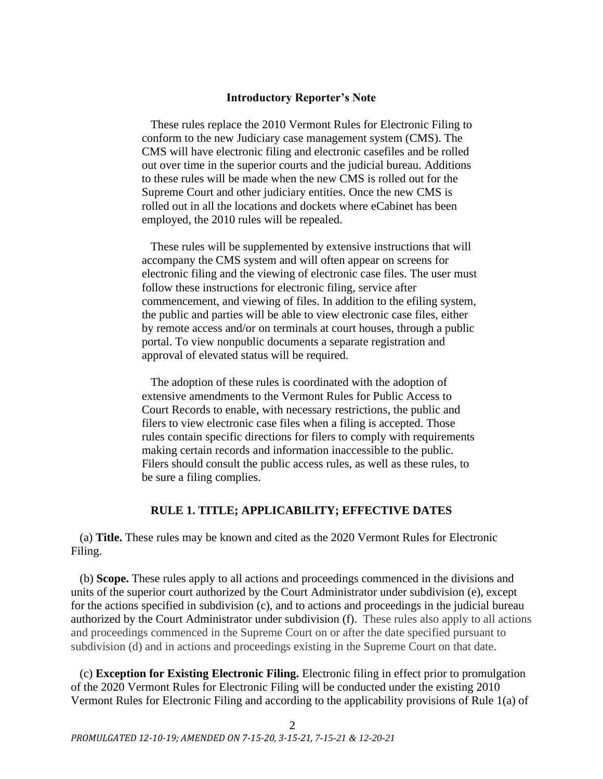## **Introductory Reporter's Note**

<span id="page-1-0"></span>These rules replace the 2010 Vermont Rules for Electronic Filing to conform to the new Judiciary case management system (CMS). The CMS will have electronic filing and electronic casefiles and be rolled out over time in the superior courts and the judicial bureau. Additions to these rules will be made when the new CMS is rolled out for the Supreme Court and other judiciary entities. Once the new CMS is rolled out in all the locations and dockets where eCabinet has been employed, the 2010 rules will be repealed.

These rules will be supplemented by extensive instructions that will accompany the CMS system and will often appear on screens for electronic filing and the viewing of electronic case files. The user must follow these instructions for electronic filing, service after commencement, and viewing of files. In addition to the efiling system, the public and parties will be able to view electronic case files, either by remote access and/or on terminals at court houses, through a public portal. To view nonpublic documents a separate registration and approval of elevated status will be required.

The adoption of these rules is coordinated with the adoption of extensive amendments to the Vermont Rules for Public Access to Court Records to enable, with necessary restrictions, the public and filers to view electronic case files when a filing is accepted. Those rules contain specific directions for filers to comply with requirements making certain records and information inaccessible to the public. Filers should consult the public access rules, as well as these rules, to be sure a filing complies.

## **RULE 1. TITLE; APPLICABILITY; EFFECTIVE DATES**

<span id="page-1-1"></span>(a) **Title.** These rules may be known and cited as the 2020 Vermont Rules for Electronic Filing.

(b) **Scope.** These rules apply to all actions and proceedings commenced in the divisions and units of the superior court authorized by the Court Administrator under subdivision (e), except for the actions specified in subdivision (c), and to actions and proceedings in the judicial bureau authorized by the Court Administrator under subdivision (f). These rules also apply to all actions and proceedings commenced in the Supreme Court on or after the date specified pursuant to subdivision (d) and in actions and proceedings existing in the Supreme Court on that date.

(c) **Exception for Existing Electronic Filing.** Electronic filing in effect prior to promulgation of the 2020 Vermont Rules for Electronic Filing will be conducted under the existing 2010 Vermont Rules for Electronic Filing and according to the applicability provisions of Rule 1(a) of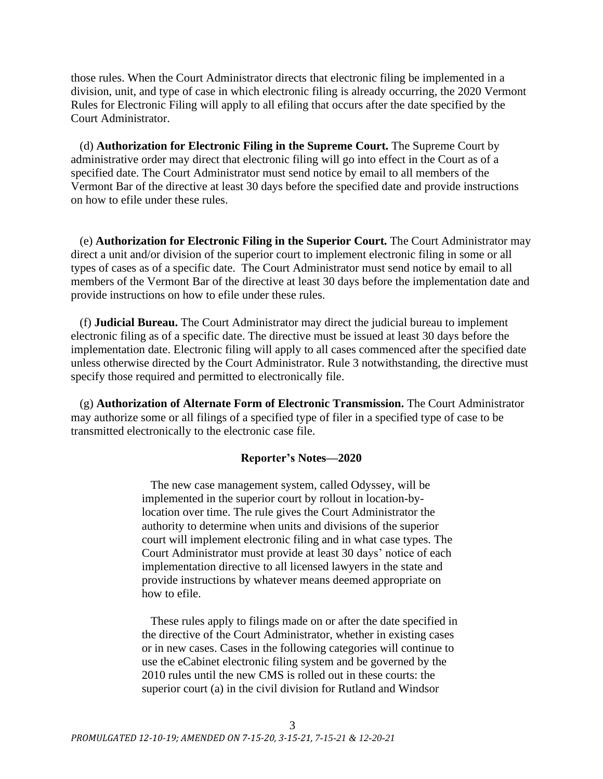those rules. When the Court Administrator directs that electronic filing be implemented in a division, unit, and type of case in which electronic filing is already occurring, the 2020 Vermont Rules for Electronic Filing will apply to all efiling that occurs after the date specified by the Court Administrator.

(d) **Authorization for Electronic Filing in the Supreme Court.** The Supreme Court by administrative order may direct that electronic filing will go into effect in the Court as of a specified date. The Court Administrator must send notice by email to all members of the Vermont Bar of the directive at least 30 days before the specified date and provide instructions on how to efile under these rules.

(e) **Authorization for Electronic Filing in the Superior Court.** The Court Administrator may direct a unit and/or division of the superior court to implement electronic filing in some or all types of cases as of a specific date. The Court Administrator must send notice by email to all members of the Vermont Bar of the directive at least 30 days before the implementation date and provide instructions on how to efile under these rules.

(f) **Judicial Bureau.** The Court Administrator may direct the judicial bureau to implement electronic filing as of a specific date. The directive must be issued at least 30 days before the implementation date. Electronic filing will apply to all cases commenced after the specified date unless otherwise directed by the Court Administrator. Rule 3 notwithstanding, the directive must specify those required and permitted to electronically file.

(g) **Authorization of Alternate Form of Electronic Transmission.** The Court Administrator may authorize some or all filings of a specified type of filer in a specified type of case to be transmitted electronically to the electronic case file.

## **Reporter's Notes—2020**

The new case management system, called Odyssey, will be implemented in the superior court by rollout in location-bylocation over time. The rule gives the Court Administrator the authority to determine when units and divisions of the superior court will implement electronic filing and in what case types. The Court Administrator must provide at least 30 days' notice of each implementation directive to all licensed lawyers in the state and provide instructions by whatever means deemed appropriate on how to efile.

These rules apply to filings made on or after the date specified in the directive of the Court Administrator, whether in existing cases or in new cases. Cases in the following categories will continue to use the eCabinet electronic filing system and be governed by the 2010 rules until the new CMS is rolled out in these courts: the superior court (a) in the civil division for Rutland and Windsor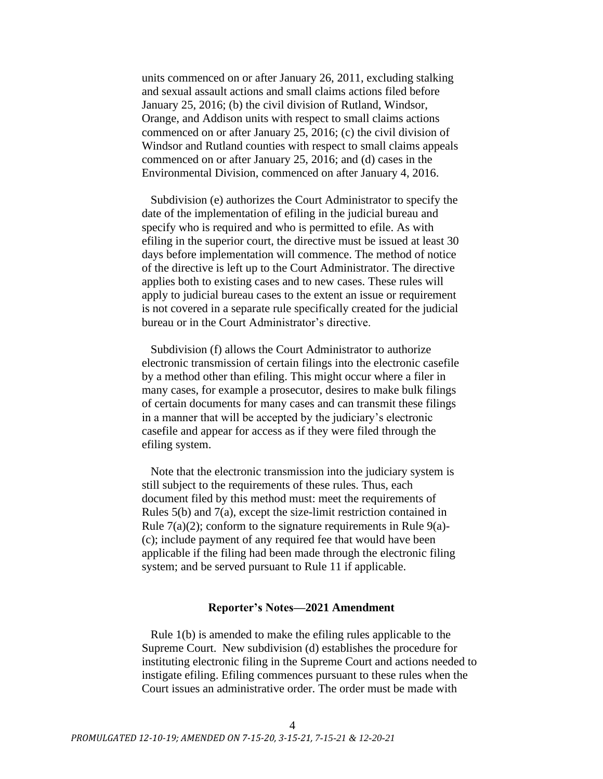units commenced on or after January 26, 2011, excluding stalking and sexual assault actions and small claims actions filed before January 25, 2016; (b) the civil division of Rutland, Windsor, Orange, and Addison units with respect to small claims actions commenced on or after January 25, 2016; (c) the civil division of Windsor and Rutland counties with respect to small claims appeals commenced on or after January 25, 2016; and (d) cases in the Environmental Division, commenced on after January 4, 2016.

Subdivision (e) authorizes the Court Administrator to specify the date of the implementation of efiling in the judicial bureau and specify who is required and who is permitted to efile. As with efiling in the superior court, the directive must be issued at least 30 days before implementation will commence. The method of notice of the directive is left up to the Court Administrator. The directive applies both to existing cases and to new cases. These rules will apply to judicial bureau cases to the extent an issue or requirement is not covered in a separate rule specifically created for the judicial bureau or in the Court Administrator's directive.

Subdivision (f) allows the Court Administrator to authorize electronic transmission of certain filings into the electronic casefile by a method other than efiling. This might occur where a filer in many cases, for example a prosecutor, desires to make bulk filings of certain documents for many cases and can transmit these filings in a manner that will be accepted by the judiciary's electronic casefile and appear for access as if they were filed through the efiling system.

Note that the electronic transmission into the judiciary system is still subject to the requirements of these rules. Thus, each document filed by this method must: meet the requirements of Rules 5(b) and 7(a), except the size-limit restriction contained in Rule  $7(a)(2)$ ; conform to the signature requirements in Rule 9(a)-(c); include payment of any required fee that would have been applicable if the filing had been made through the electronic filing system; and be served pursuant to Rule 11 if applicable.

## **Reporter's Notes—2021 Amendment**

Rule 1(b) is amended to make the efiling rules applicable to the Supreme Court. New subdivision (d) establishes the procedure for instituting electronic filing in the Supreme Court and actions needed to instigate efiling. Efiling commences pursuant to these rules when the Court issues an administrative order. The order must be made with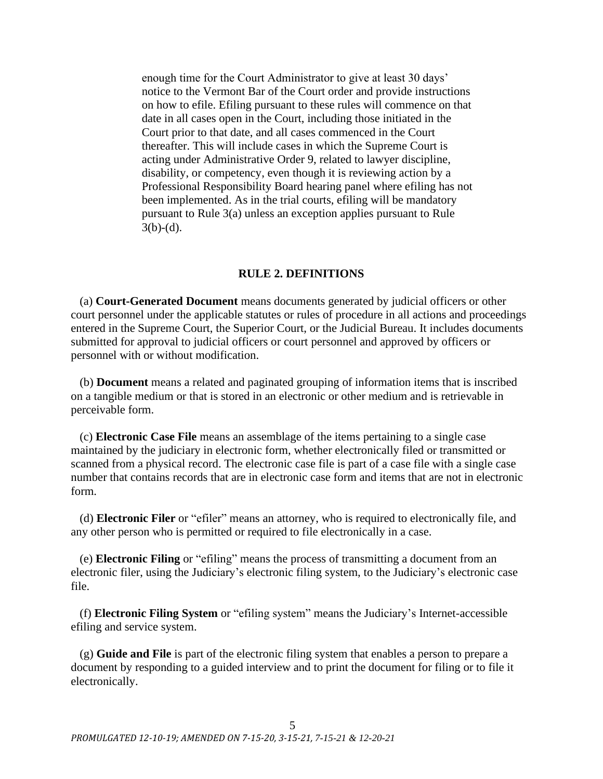enough time for the Court Administrator to give at least 30 days' notice to the Vermont Bar of the Court order and provide instructions on how to efile. Efiling pursuant to these rules will commence on that date in all cases open in the Court, including those initiated in the Court prior to that date, and all cases commenced in the Court thereafter. This will include cases in which the Supreme Court is acting under Administrative Order 9, related to lawyer discipline, disability, or competency, even though it is reviewing action by a Professional Responsibility Board hearing panel where efiling has not been implemented. As in the trial courts, efiling will be mandatory pursuant to Rule 3(a) unless an exception applies pursuant to Rule  $3(b)-(d)$ .

### **RULE 2. DEFINITIONS**

<span id="page-4-0"></span>(a) **Court-Generated Document** means documents generated by judicial officers or other court personnel under the applicable statutes or rules of procedure in all actions and proceedings entered in the Supreme Court, the Superior Court, or the Judicial Bureau. It includes documents submitted for approval to judicial officers or court personnel and approved by officers or personnel with or without modification.

(b) **Document** means a related and paginated grouping of information items that is inscribed on a tangible medium or that is stored in an electronic or other medium and is retrievable in perceivable form.

(c) **Electronic Case File** means an assemblage of the items pertaining to a single case maintained by the judiciary in electronic form, whether electronically filed or transmitted or scanned from a physical record. The electronic case file is part of a case file with a single case number that contains records that are in electronic case form and items that are not in electronic form.

(d) **Electronic Filer** or "efiler" means an attorney, who is required to electronically file, and any other person who is permitted or required to file electronically in a case.

(e) **Electronic Filing** or "efiling" means the process of transmitting a document from an electronic filer, using the Judiciary's electronic filing system, to the Judiciary's electronic case file.

(f) **Electronic Filing System** or "efiling system" means the Judiciary's Internet-accessible efiling and service system.

(g) **Guide and File** is part of the electronic filing system that enables a person to prepare a document by responding to a guided interview and to print the document for filing or to file it electronically.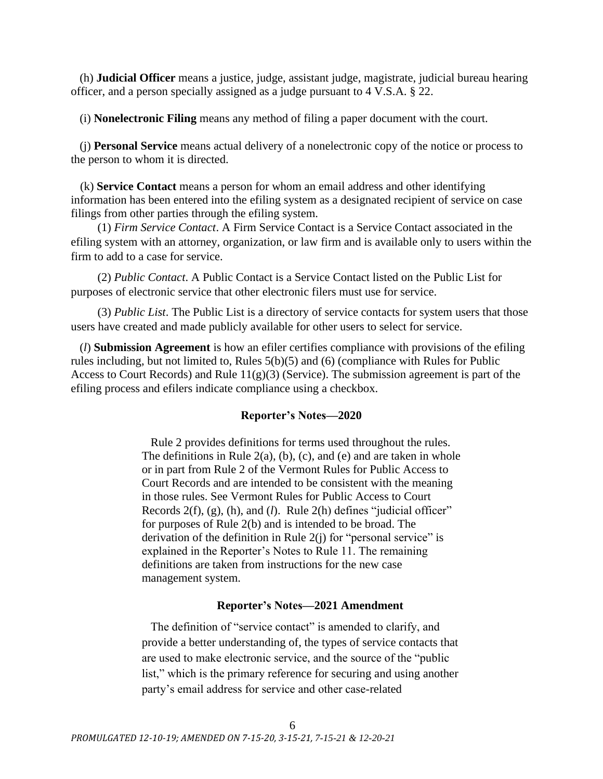(h) **Judicial Officer** means a justice, judge, assistant judge, magistrate, judicial bureau hearing officer, and a person specially assigned as a judge pursuant to 4 V.S.A. § 22.

(i) **Nonelectronic Filing** means any method of filing a paper document with the court.

(j) **Personal Service** means actual delivery of a nonelectronic copy of the notice or process to the person to whom it is directed.

(k) **Service Contact** means a person for whom an email address and other identifying information has been entered into the efiling system as a designated recipient of service on case filings from other parties through the efiling system.

(1) *Firm Service Contact*. A Firm Service Contact is a Service Contact associated in the efiling system with an attorney, organization, or law firm and is available only to users within the firm to add to a case for service.

(2) *Public Contact*. A Public Contact is a Service Contact listed on the Public List for purposes of electronic service that other electronic filers must use for service.

(3) *Public List*. The Public List is a directory of service contacts for system users that those users have created and made publicly available for other users to select for service.

(*l*) **Submission Agreement** is how an efiler certifies compliance with provisions of the efiling rules including, but not limited to, Rules 5(b)(5) and (6) (compliance with Rules for Public Access to Court Records) and Rule  $11(g)(3)$  (Service). The submission agreement is part of the efiling process and efilers indicate compliance using a checkbox.

## **Reporter's Notes—2020**

Rule 2 provides definitions for terms used throughout the rules. The definitions in Rule  $2(a)$ , (b), (c), and (e) and are taken in whole or in part from Rule 2 of the Vermont Rules for Public Access to Court Records and are intended to be consistent with the meaning in those rules. See Vermont Rules for Public Access to Court Records 2(f), (g), (h), and (*l*). Rule 2(h) defines "judicial officer" for purposes of Rule 2(b) and is intended to be broad. The derivation of the definition in Rule 2(j) for "personal service" is explained in the Reporter's Notes to Rule 11. The remaining definitions are taken from instructions for the new case management system.

# **Reporter's Notes—2021 Amendment**

The definition of "service contact" is amended to clarify, and provide a better understanding of, the types of service contacts that are used to make electronic service, and the source of the "public list," which is the primary reference for securing and using another party's email address for service and other case-related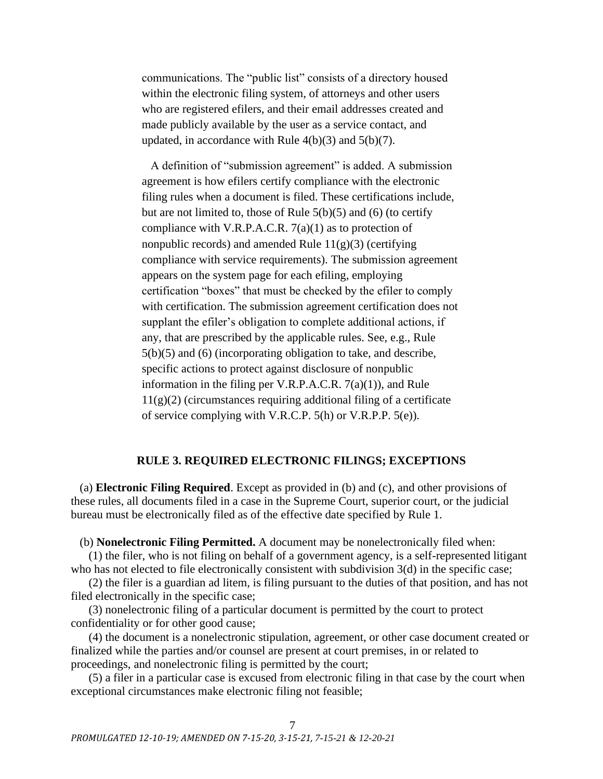communications. The "public list" consists of a directory housed within the electronic filing system, of attorneys and other users who are registered efilers, and their email addresses created and made publicly available by the user as a service contact, and updated, in accordance with Rule  $4(b)(3)$  and  $5(b)(7)$ .

A definition of "submission agreement" is added. A submission agreement is how efilers certify compliance with the electronic filing rules when a document is filed. These certifications include, but are not limited to, those of Rule 5(b)(5) and (6) (to certify compliance with V.R.P.A.C.R.  $7(a)(1)$  as to protection of nonpublic records) and amended Rule  $11(g)(3)$  (certifying compliance with service requirements). The submission agreement appears on the system page for each efiling, employing certification "boxes" that must be checked by the efiler to comply with certification. The submission agreement certification does not supplant the efiler's obligation to complete additional actions, if any, that are prescribed by the applicable rules. See, e.g., Rule 5(b)(5) and (6) (incorporating obligation to take, and describe, specific actions to protect against disclosure of nonpublic information in the filing per V.R.P.A.C.R. 7(a)(1)), and Rule  $11(g)(2)$  (circumstances requiring additional filing of a certificate of service complying with V.R.C.P. 5(h) or V.R.P.P. 5(e)).

# **RULE 3. REQUIRED ELECTRONIC FILINGS; EXCEPTIONS**

<span id="page-6-0"></span>(a) **Electronic Filing Required**. Except as provided in (b) and (c), and other provisions of these rules, all documents filed in a case in the Supreme Court, superior court, or the judicial bureau must be electronically filed as of the effective date specified by Rule 1.

(b) **Nonelectronic Filing Permitted.** A document may be nonelectronically filed when:

(1) the filer, who is not filing on behalf of a government agency, is a self-represented litigant who has not elected to file electronically consistent with subdivision 3(d) in the specific case;

(2) the filer is a guardian ad litem, is filing pursuant to the duties of that position, and has not filed electronically in the specific case;

(3) nonelectronic filing of a particular document is permitted by the court to protect confidentiality or for other good cause;

(4) the document is a nonelectronic stipulation, agreement, or other case document created or finalized while the parties and/or counsel are present at court premises, in or related to proceedings, and nonelectronic filing is permitted by the court;

(5) a filer in a particular case is excused from electronic filing in that case by the court when exceptional circumstances make electronic filing not feasible;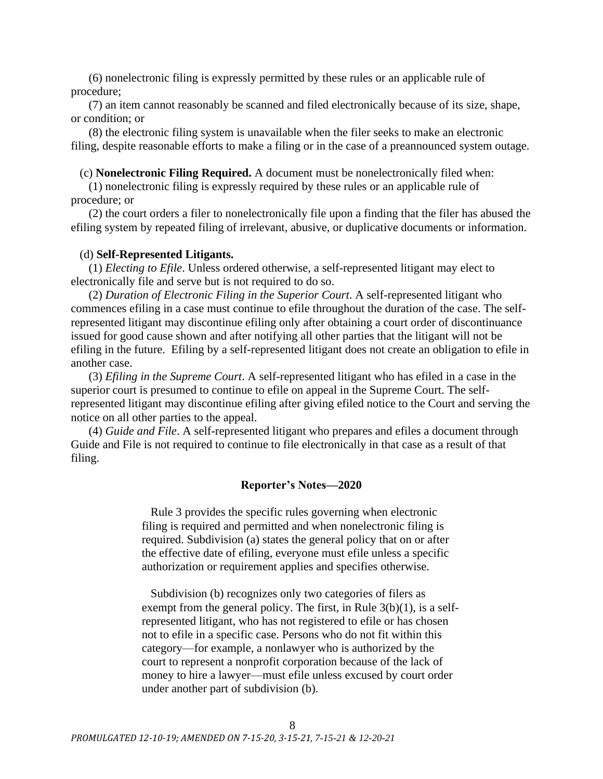(6) nonelectronic filing is expressly permitted by these rules or an applicable rule of procedure;

(7) an item cannot reasonably be scanned and filed electronically because of its size, shape, or condition; or

(8) the electronic filing system is unavailable when the filer seeks to make an electronic filing, despite reasonable efforts to make a filing or in the case of a preannounced system outage.

(c) **Nonelectronic Filing Required.** A document must be nonelectronically filed when:

(1) nonelectronic filing is expressly required by these rules or an applicable rule of procedure; or

(2) the court orders a filer to nonelectronically file upon a finding that the filer has abused the efiling system by repeated filing of irrelevant, abusive, or duplicative documents or information.

## (d) **Self-Represented Litigants.**

(1) *Electing to Efile*. Unless ordered otherwise, a self-represented litigant may elect to electronically file and serve but is not required to do so.

(2) *Duration of Electronic Filing in the Superior Court*. A self-represented litigant who commences efiling in a case must continue to efile throughout the duration of the case. The selfrepresented litigant may discontinue efiling only after obtaining a court order of discontinuance issued for good cause shown and after notifying all other parties that the litigant will not be efiling in the future. Efiling by a self-represented litigant does not create an obligation to efile in another case.

(3) *Efiling in the Supreme Court*. A self-represented litigant who has efiled in a case in the superior court is presumed to continue to efile on appeal in the Supreme Court. The selfrepresented litigant may discontinue efiling after giving efiled notice to the Court and serving the notice on all other parties to the appeal.

(4) *Guide and File*. A self-represented litigant who prepares and efiles a document through Guide and File is not required to continue to file electronically in that case as a result of that filing.

### **Reporter's Notes—2020**

Rule 3 provides the specific rules governing when electronic filing is required and permitted and when nonelectronic filing is required. Subdivision (a) states the general policy that on or after the effective date of efiling, everyone must efile unless a specific authorization or requirement applies and specifies otherwise.

Subdivision (b) recognizes only two categories of filers as exempt from the general policy. The first, in Rule 3(b)(1), is a selfrepresented litigant, who has not registered to efile or has chosen not to efile in a specific case. Persons who do not fit within this category—for example, a nonlawyer who is authorized by the court to represent a nonprofit corporation because of the lack of money to hire a lawyer—must efile unless excused by court order under another part of subdivision (b).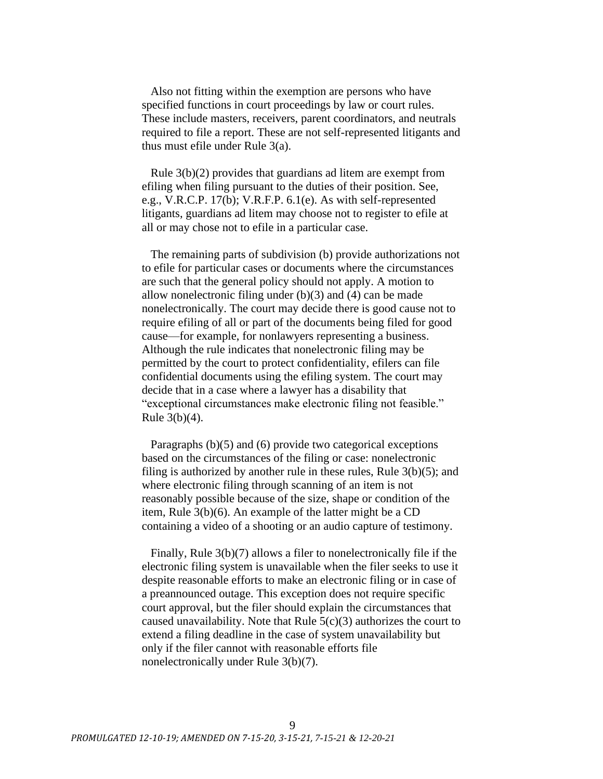Also not fitting within the exemption are persons who have specified functions in court proceedings by law or court rules. These include masters, receivers, parent coordinators, and neutrals required to file a report. These are not self-represented litigants and thus must efile under Rule 3(a).

Rule 3(b)(2) provides that guardians ad litem are exempt from efiling when filing pursuant to the duties of their position. See, e.g., V.R.C.P. 17(b); V.R.F.P. 6.1(e). As with self-represented litigants, guardians ad litem may choose not to register to efile at all or may chose not to efile in a particular case.

The remaining parts of subdivision (b) provide authorizations not to efile for particular cases or documents where the circumstances are such that the general policy should not apply. A motion to allow nonelectronic filing under (b)(3) and (4) can be made nonelectronically. The court may decide there is good cause not to require efiling of all or part of the documents being filed for good cause—for example, for nonlawyers representing a business. Although the rule indicates that nonelectronic filing may be permitted by the court to protect confidentiality, efilers can file confidential documents using the efiling system. The court may decide that in a case where a lawyer has a disability that "exceptional circumstances make electronic filing not feasible." Rule 3(b)(4).

Paragraphs (b)(5) and (6) provide two categorical exceptions based on the circumstances of the filing or case: nonelectronic filing is authorized by another rule in these rules, Rule 3(b)(5); and where electronic filing through scanning of an item is not reasonably possible because of the size, shape or condition of the item, Rule 3(b)(6). An example of the latter might be a CD containing a video of a shooting or an audio capture of testimony.

Finally, Rule 3(b)(7) allows a filer to nonelectronically file if the electronic filing system is unavailable when the filer seeks to use it despite reasonable efforts to make an electronic filing or in case of a preannounced outage. This exception does not require specific court approval, but the filer should explain the circumstances that caused unavailability. Note that Rule  $5(c)(3)$  authorizes the court to extend a filing deadline in the case of system unavailability but only if the filer cannot with reasonable efforts file nonelectronically under Rule 3(b)(7).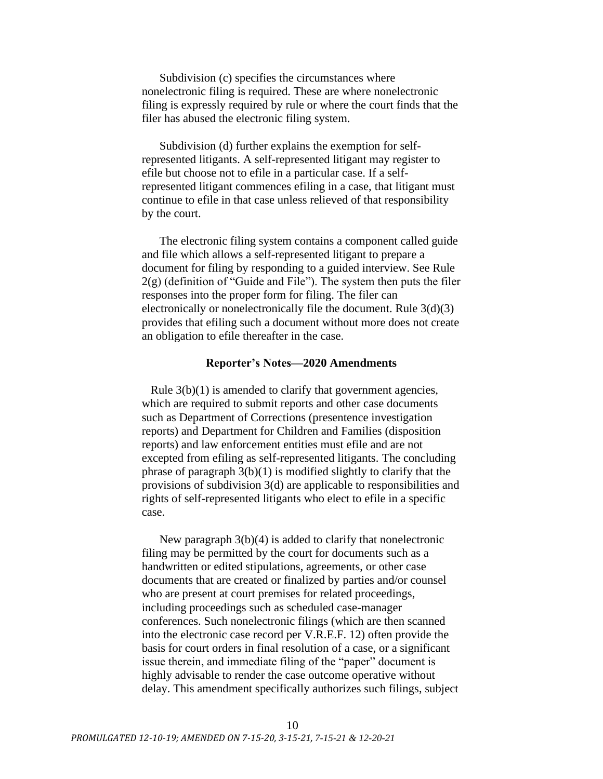Subdivision (c) specifies the circumstances where nonelectronic filing is required. These are where nonelectronic filing is expressly required by rule or where the court finds that the filer has abused the electronic filing system.

Subdivision (d) further explains the exemption for selfrepresented litigants. A self-represented litigant may register to efile but choose not to efile in a particular case. If a selfrepresented litigant commences efiling in a case, that litigant must continue to efile in that case unless relieved of that responsibility by the court.

The electronic filing system contains a component called guide and file which allows a self-represented litigant to prepare a document for filing by responding to a guided interview. See Rule  $2(g)$  (definition of "Guide and File"). The system then puts the filer responses into the proper form for filing. The filer can electronically or nonelectronically file the document. Rule 3(d)(3) provides that efiling such a document without more does not create an obligation to efile thereafter in the case.

## **Reporter's Notes—2020 Amendments**

Rule  $3(b)(1)$  is amended to clarify that government agencies, which are required to submit reports and other case documents such as Department of Corrections (presentence investigation reports) and Department for Children and Families (disposition reports) and law enforcement entities must efile and are not excepted from efiling as self-represented litigants. The concluding phrase of paragraph  $3(b)(1)$  is modified slightly to clarify that the provisions of subdivision 3(d) are applicable to responsibilities and rights of self-represented litigants who elect to efile in a specific case.

New paragraph 3(b)(4) is added to clarify that nonelectronic filing may be permitted by the court for documents such as a handwritten or edited stipulations, agreements, or other case documents that are created or finalized by parties and/or counsel who are present at court premises for related proceedings, including proceedings such as scheduled case-manager conferences. Such nonelectronic filings (which are then scanned into the electronic case record per V.R.E.F. 12) often provide the basis for court orders in final resolution of a case, or a significant issue therein, and immediate filing of the "paper" document is highly advisable to render the case outcome operative without delay. This amendment specifically authorizes such filings, subject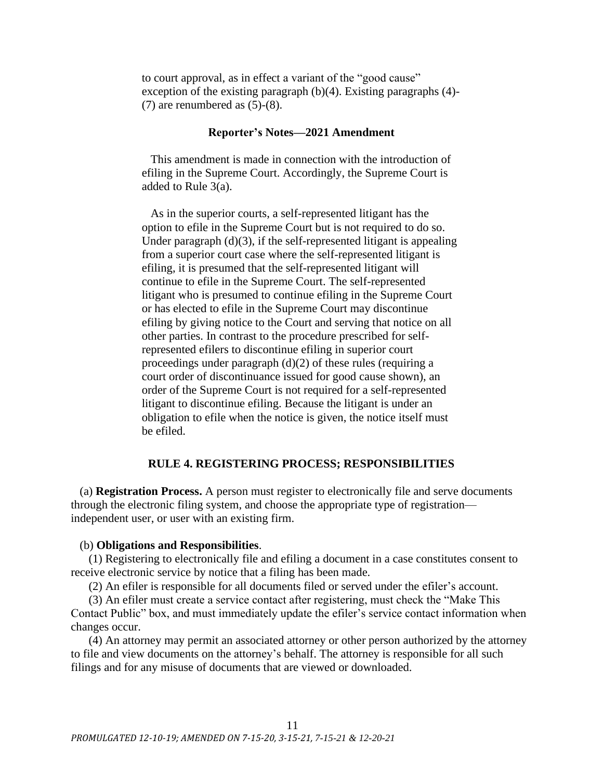to court approval, as in effect a variant of the "good cause" exception of the existing paragraph (b)(4). Existing paragraphs (4)- (7) are renumbered as (5)-(8).

## **Reporter's Notes—2021 Amendment**

This amendment is made in connection with the introduction of efiling in the Supreme Court. Accordingly, the Supreme Court is added to Rule 3(a).

As in the superior courts, a self-represented litigant has the option to efile in the Supreme Court but is not required to do so. Under paragraph  $(d)(3)$ , if the self-represented litigant is appealing from a superior court case where the self-represented litigant is efiling, it is presumed that the self-represented litigant will continue to efile in the Supreme Court. The self-represented litigant who is presumed to continue efiling in the Supreme Court or has elected to efile in the Supreme Court may discontinue efiling by giving notice to the Court and serving that notice on all other parties. In contrast to the procedure prescribed for selfrepresented efilers to discontinue efiling in superior court proceedings under paragraph (d)(2) of these rules (requiring a court order of discontinuance issued for good cause shown), an order of the Supreme Court is not required for a self-represented litigant to discontinue efiling. Because the litigant is under an obligation to efile when the notice is given, the notice itself must be efiled.

## **RULE 4. REGISTERING PROCESS; RESPONSIBILITIES**

<span id="page-10-0"></span>(a) **Registration Process.** A person must register to electronically file and serve documents through the electronic filing system, and choose the appropriate type of registration independent user, or user with an existing firm.

### (b) **Obligations and Responsibilities**.

(1) Registering to electronically file and efiling a document in a case constitutes consent to receive electronic service by notice that a filing has been made.

(2) An efiler is responsible for all documents filed or served under the efiler's account.

(3) An efiler must create a service contact after registering, must check the "Make This Contact Public" box, and must immediately update the efiler's service contact information when changes occur.

(4) An attorney may permit an associated attorney or other person authorized by the attorney to file and view documents on the attorney's behalf. The attorney is responsible for all such filings and for any misuse of documents that are viewed or downloaded.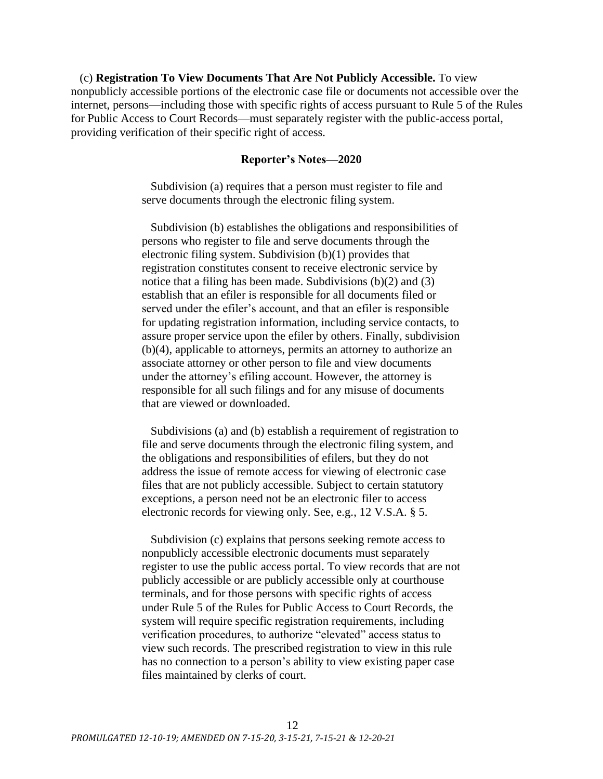(c) **Registration To View Documents That Are Not Publicly Accessible.** To view nonpublicly accessible portions of the electronic case file or documents not accessible over the internet, persons—including those with specific rights of access pursuant to Rule 5 of the Rules for Public Access to Court Records—must separately register with the public-access portal, providing verification of their specific right of access.

## **Reporter's Notes—2020**

Subdivision (a) requires that a person must register to file and serve documents through the electronic filing system.

Subdivision (b) establishes the obligations and responsibilities of persons who register to file and serve documents through the electronic filing system. Subdivision (b)(1) provides that registration constitutes consent to receive electronic service by notice that a filing has been made. Subdivisions (b)(2) and (3) establish that an efiler is responsible for all documents filed or served under the efiler's account, and that an efiler is responsible for updating registration information, including service contacts, to assure proper service upon the efiler by others. Finally, subdivision (b)(4), applicable to attorneys, permits an attorney to authorize an associate attorney or other person to file and view documents under the attorney's efiling account. However, the attorney is responsible for all such filings and for any misuse of documents that are viewed or downloaded.

Subdivisions (a) and (b) establish a requirement of registration to file and serve documents through the electronic filing system, and the obligations and responsibilities of efilers, but they do not address the issue of remote access for viewing of electronic case files that are not publicly accessible. Subject to certain statutory exceptions, a person need not be an electronic filer to access electronic records for viewing only. See, e.g., 12 V.S.A. § 5.

Subdivision (c) explains that persons seeking remote access to nonpublicly accessible electronic documents must separately register to use the public access portal. To view records that are not publicly accessible or are publicly accessible only at courthouse terminals, and for those persons with specific rights of access under Rule 5 of the Rules for Public Access to Court Records, the system will require specific registration requirements, including verification procedures, to authorize "elevated" access status to view such records. The prescribed registration to view in this rule has no connection to a person's ability to view existing paper case files maintained by clerks of court.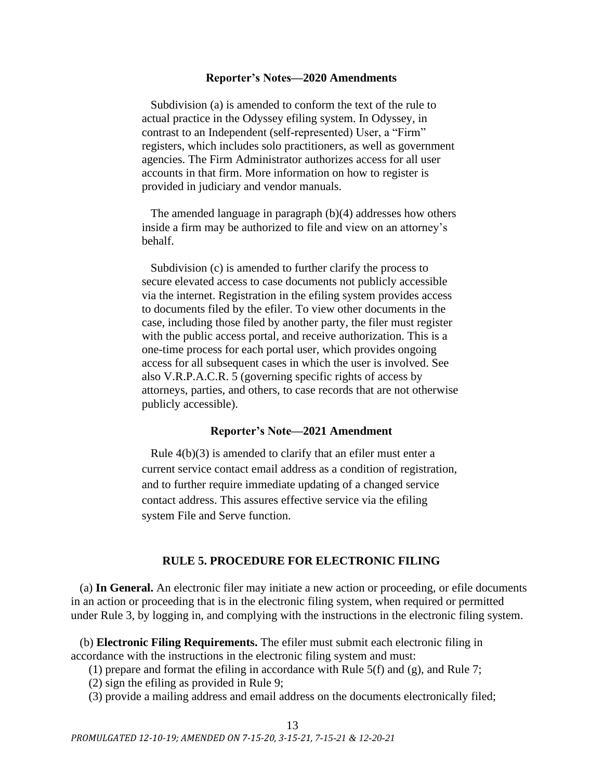### **Reporter's Notes—2020 Amendments**

Subdivision (a) is amended to conform the text of the rule to actual practice in the Odyssey efiling system. In Odyssey, in contrast to an Independent (self-represented) User, a "Firm" registers, which includes solo practitioners, as well as government agencies. The Firm Administrator authorizes access for all user accounts in that firm. More information on how to register is provided in judiciary and vendor manuals.

The amended language in paragraph (b)(4) addresses how others inside a firm may be authorized to file and view on an attorney's behalf.

Subdivision (c) is amended to further clarify the process to secure elevated access to case documents not publicly accessible via the internet. Registration in the efiling system provides access to documents filed by the efiler. To view other documents in the case, including those filed by another party, the filer must register with the public access portal, and receive authorization. This is a one-time process for each portal user, which provides ongoing access for all subsequent cases in which the user is involved. See also V.R.P.A.C.R. 5 (governing specific rights of access by attorneys, parties, and others, to case records that are not otherwise publicly accessible).

### **Reporter's Note—2021 Amendment**

Rule 4(b)(3) is amended to clarify that an efiler must enter a current service contact email address as a condition of registration, and to further require immediate updating of a changed service contact address. This assures effective service via the efiling system File and Serve function.

## **RULE 5. PROCEDURE FOR ELECTRONIC FILING**

<span id="page-12-0"></span>(a) **In General.** An electronic filer may initiate a new action or proceeding, or efile documents in an action or proceeding that is in the electronic filing system, when required or permitted under Rule 3, by logging in, and complying with the instructions in the electronic filing system.

(b) **Electronic Filing Requirements.** The efiler must submit each electronic filing in accordance with the instructions in the electronic filing system and must:

(1) prepare and format the efiling in accordance with Rule 5(f) and (g), and Rule 7;

(2) sign the efiling as provided in Rule 9;

(3) provide a mailing address and email address on the documents electronically filed;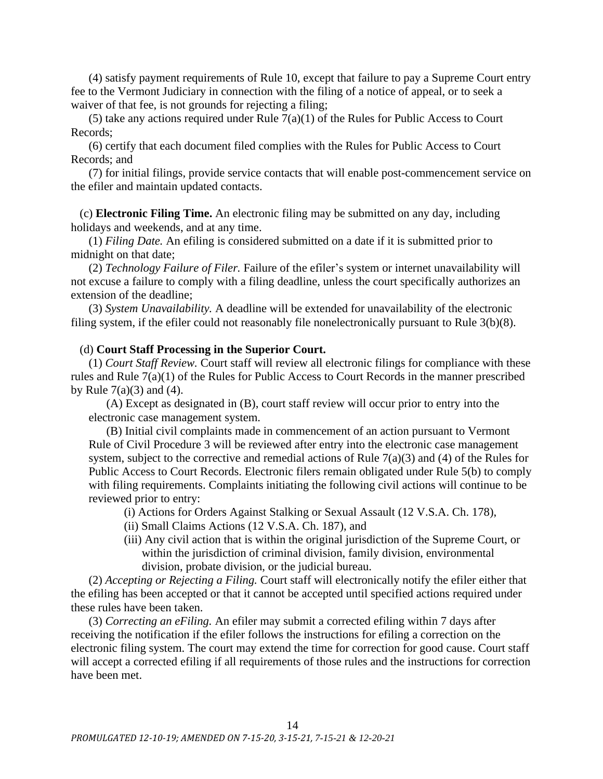(4) satisfy payment requirements of Rule 10, except that failure to pay a Supreme Court entry fee to the Vermont Judiciary in connection with the filing of a notice of appeal, or to seek a waiver of that fee, is not grounds for rejecting a filing;

(5) take any actions required under Rule  $7(a)(1)$  of the Rules for Public Access to Court Records;

(6) certify that each document filed complies with the Rules for Public Access to Court Records; and

(7) for initial filings, provide service contacts that will enable post-commencement service on the efiler and maintain updated contacts.

(c) **Electronic Filing Time.** An electronic filing may be submitted on any day, including holidays and weekends, and at any time.

(1) *Filing Date.* An efiling is considered submitted on a date if it is submitted prior to midnight on that date;

(2) *Technology Failure of Filer.* Failure of the efiler's system or internet unavailability will not excuse a failure to comply with a filing deadline, unless the court specifically authorizes an extension of the deadline;

(3) *System Unavailability.* A deadline will be extended for unavailability of the electronic filing system, if the efiler could not reasonably file nonelectronically pursuant to Rule 3(b)(8).

## (d) **Court Staff Processing in the Superior Court.**

(1) *Court Staff Review.* Court staff will review all electronic filings for compliance with these rules and Rule 7(a)(1) of the Rules for Public Access to Court Records in the manner prescribed by Rule  $7(a)(3)$  and  $(4)$ .

(A) Except as designated in (B), court staff review will occur prior to entry into the electronic case management system.

(B) Initial civil complaints made in commencement of an action pursuant to Vermont Rule of Civil Procedure 3 will be reviewed after entry into the electronic case management system, subject to the corrective and remedial actions of Rule  $7(a)(3)$  and (4) of the Rules for Public Access to Court Records. Electronic filers remain obligated under Rule 5(b) to comply with filing requirements. Complaints initiating the following civil actions will continue to be reviewed prior to entry:

- (i) Actions for Orders Against Stalking or Sexual Assault (12 V.S.A. Ch. 178),
- (ii) Small Claims Actions (12 V.S.A. Ch. 187), and
- (iii) Any civil action that is within the original jurisdiction of the Supreme Court, or within the jurisdiction of criminal division, family division, environmental division, probate division, or the judicial bureau.

(2) *Accepting or Rejecting a Filing.* Court staff will electronically notify the efiler either that the efiling has been accepted or that it cannot be accepted until specified actions required under these rules have been taken.

(3) *Correcting an eFiling.* An efiler may submit a corrected efiling within 7 days after receiving the notification if the efiler follows the instructions for efiling a correction on the electronic filing system. The court may extend the time for correction for good cause. Court staff will accept a corrected efiling if all requirements of those rules and the instructions for correction have been met.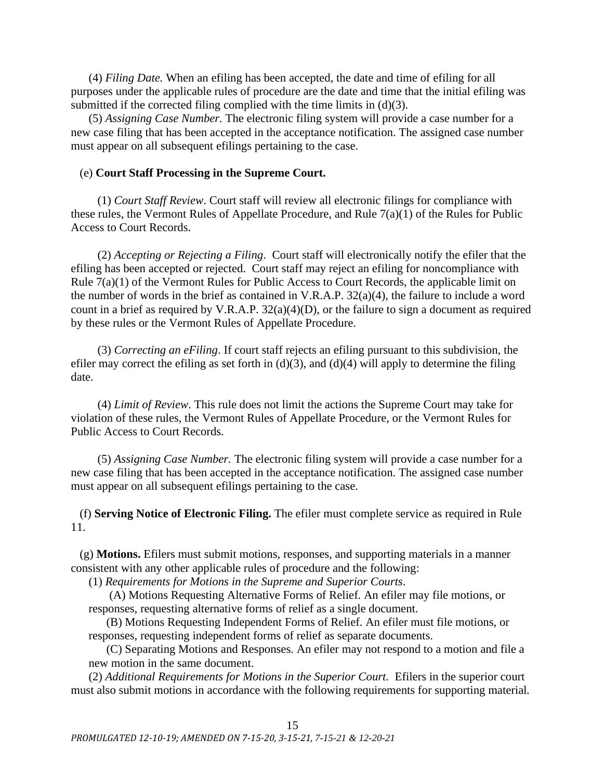(4) *Filing Date.* When an efiling has been accepted, the date and time of efiling for all purposes under the applicable rules of procedure are the date and time that the initial efiling was submitted if the corrected filing complied with the time limits in (d)(3).

(5) *Assigning Case Number.* The electronic filing system will provide a case number for a new case filing that has been accepted in the acceptance notification. The assigned case number must appear on all subsequent efilings pertaining to the case.

## (e) **Court Staff Processing in the Supreme Court.**

(1) *Court Staff Review*. Court staff will review all electronic filings for compliance with these rules, the Vermont Rules of Appellate Procedure, and Rule 7(a)(1) of the Rules for Public Access to Court Records.

(2) *Accepting or Rejecting a Filing*. Court staff will electronically notify the efiler that the efiling has been accepted or rejected. Court staff may reject an efiling for noncompliance with Rule 7(a)(1) of the Vermont Rules for Public Access to Court Records, the applicable limit on the number of words in the brief as contained in V.R.A.P. 32(a)(4), the failure to include a word count in a brief as required by V.R.A.P. 32(a)(4)(D), or the failure to sign a document as required by these rules or the Vermont Rules of Appellate Procedure.

(3) *Correcting an eFiling*. If court staff rejects an efiling pursuant to this subdivision, the efiler may correct the efiling as set forth in  $(d)(3)$ , and  $(d)(4)$  will apply to determine the filing date.

(4) *Limit of Review*. This rule does not limit the actions the Supreme Court may take for violation of these rules, the Vermont Rules of Appellate Procedure, or the Vermont Rules for Public Access to Court Records.

(5) *Assigning Case Number.* The electronic filing system will provide a case number for a new case filing that has been accepted in the acceptance notification. The assigned case number must appear on all subsequent efilings pertaining to the case.

(f) **Serving Notice of Electronic Filing.** The efiler must complete service as required in Rule 11.

(g) **Motions.** Efilers must submit motions, responses, and supporting materials in a manner consistent with any other applicable rules of procedure and the following:

(1) *Requirements for Motions in the Supreme and Superior Courts*.

(A) Motions Requesting Alternative Forms of Relief. An efiler may file motions, or responses, requesting alternative forms of relief as a single document.

(B) Motions Requesting Independent Forms of Relief. An efiler must file motions, or responses, requesting independent forms of relief as separate documents.

(C) Separating Motions and Responses. An efiler may not respond to a motion and file a new motion in the same document.

(2) *Additional Requirements for Motions in the Superior Court.* Efilers in the superior court must also submit motions in accordance with the following requirements for supporting material*.*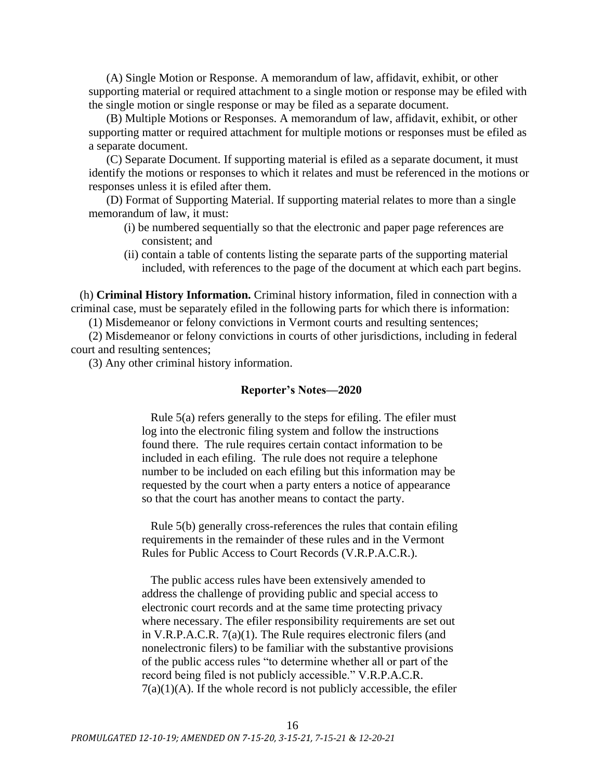(A) Single Motion or Response. A memorandum of law, affidavit, exhibit, or other supporting material or required attachment to a single motion or response may be efiled with the single motion or single response or may be filed as a separate document.

(B) Multiple Motions or Responses. A memorandum of law, affidavit, exhibit, or other supporting matter or required attachment for multiple motions or responses must be efiled as a separate document.

(C) Separate Document. If supporting material is efiled as a separate document, it must identify the motions or responses to which it relates and must be referenced in the motions or responses unless it is efiled after them.

(D) Format of Supporting Material. If supporting material relates to more than a single memorandum of law, it must:

- (i) be numbered sequentially so that the electronic and paper page references are consistent; and
- (ii) contain a table of contents listing the separate parts of the supporting material included, with references to the page of the document at which each part begins.

(h) **Criminal History Information.** Criminal history information, filed in connection with a criminal case, must be separately efiled in the following parts for which there is information:

(1) Misdemeanor or felony convictions in Vermont courts and resulting sentences;

(2) Misdemeanor or felony convictions in courts of other jurisdictions, including in federal court and resulting sentences;

(3) Any other criminal history information.

## **Reporter's Notes—2020**

Rule 5(a) refers generally to the steps for efiling. The efiler must log into the electronic filing system and follow the instructions found there. The rule requires certain contact information to be included in each efiling. The rule does not require a telephone number to be included on each efiling but this information may be requested by the court when a party enters a notice of appearance so that the court has another means to contact the party.

Rule 5(b) generally cross-references the rules that contain efiling requirements in the remainder of these rules and in the Vermont Rules for Public Access to Court Records (V.R.P.A.C.R.).

The public access rules have been extensively amended to address the challenge of providing public and special access to electronic court records and at the same time protecting privacy where necessary. The efiler responsibility requirements are set out in V.R.P.A.C.R. 7(a)(1). The Rule requires electronic filers (and nonelectronic filers) to be familiar with the substantive provisions of the public access rules "to determine whether all or part of the record being filed is not publicly accessible." V.R.P.A.C.R.  $7(a)(1)(A)$ . If the whole record is not publicly accessible, the efiler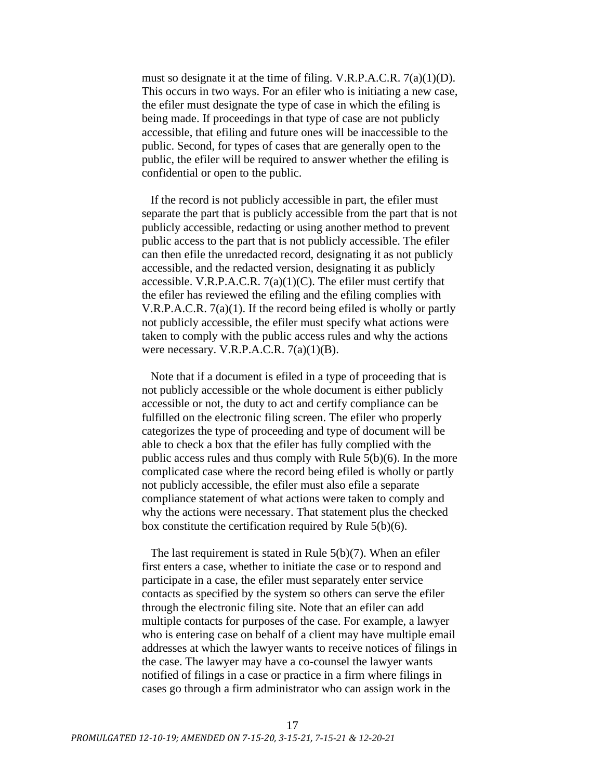must so designate it at the time of filing. V.R.P.A.C.R. 7(a)(1)(D). This occurs in two ways. For an efiler who is initiating a new case, the efiler must designate the type of case in which the efiling is being made. If proceedings in that type of case are not publicly accessible, that efiling and future ones will be inaccessible to the public. Second, for types of cases that are generally open to the public, the efiler will be required to answer whether the efiling is confidential or open to the public.

If the record is not publicly accessible in part, the efiler must separate the part that is publicly accessible from the part that is not publicly accessible, redacting or using another method to prevent public access to the part that is not publicly accessible. The efiler can then efile the unredacted record, designating it as not publicly accessible, and the redacted version, designating it as publicly accessible. V.R.P.A.C.R.  $7(a)(1)(C)$ . The efiler must certify that the efiler has reviewed the efiling and the efiling complies with V.R.P.A.C.R. 7(a)(1). If the record being efiled is wholly or partly not publicly accessible, the efiler must specify what actions were taken to comply with the public access rules and why the actions were necessary. V.R.P.A.C.R.  $7(a)(1)(B)$ .

Note that if a document is efiled in a type of proceeding that is not publicly accessible or the whole document is either publicly accessible or not, the duty to act and certify compliance can be fulfilled on the electronic filing screen. The efiler who properly categorizes the type of proceeding and type of document will be able to check a box that the efiler has fully complied with the public access rules and thus comply with Rule 5(b)(6). In the more complicated case where the record being efiled is wholly or partly not publicly accessible, the efiler must also efile a separate compliance statement of what actions were taken to comply and why the actions were necessary. That statement plus the checked box constitute the certification required by Rule 5(b)(6).

The last requirement is stated in Rule 5(b)(7). When an efiler first enters a case, whether to initiate the case or to respond and participate in a case, the efiler must separately enter service contacts as specified by the system so others can serve the efiler through the electronic filing site. Note that an efiler can add multiple contacts for purposes of the case. For example, a lawyer who is entering case on behalf of a client may have multiple email addresses at which the lawyer wants to receive notices of filings in the case. The lawyer may have a co-counsel the lawyer wants notified of filings in a case or practice in a firm where filings in cases go through a firm administrator who can assign work in the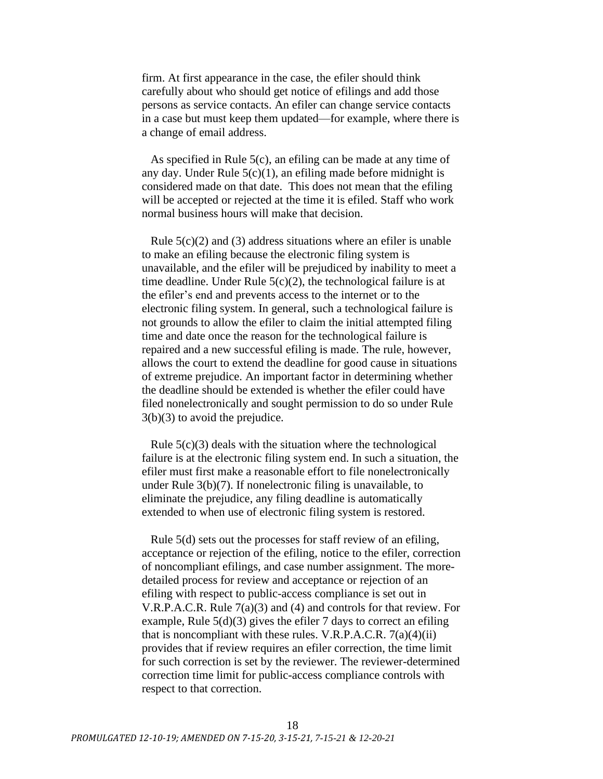firm. At first appearance in the case, the efiler should think carefully about who should get notice of efilings and add those persons as service contacts. An efiler can change service contacts in a case but must keep them updated—for example, where there is a change of email address.

As specified in Rule 5(c), an efiling can be made at any time of any day. Under Rule  $5(c)(1)$ , an efiling made before midnight is considered made on that date. This does not mean that the efiling will be accepted or rejected at the time it is efiled. Staff who work normal business hours will make that decision.

Rule  $5(c)(2)$  and (3) address situations where an efiler is unable to make an efiling because the electronic filing system is unavailable, and the efiler will be prejudiced by inability to meet a time deadline. Under Rule 5(c)(2), the technological failure is at the efiler's end and prevents access to the internet or to the electronic filing system. In general, such a technological failure is not grounds to allow the efiler to claim the initial attempted filing time and date once the reason for the technological failure is repaired and a new successful efiling is made. The rule, however, allows the court to extend the deadline for good cause in situations of extreme prejudice. An important factor in determining whether the deadline should be extended is whether the efiler could have filed nonelectronically and sought permission to do so under Rule 3(b)(3) to avoid the prejudice.

Rule  $5(c)(3)$  deals with the situation where the technological failure is at the electronic filing system end. In such a situation, the efiler must first make a reasonable effort to file nonelectronically under Rule 3(b)(7). If nonelectronic filing is unavailable, to eliminate the prejudice, any filing deadline is automatically extended to when use of electronic filing system is restored.

Rule 5(d) sets out the processes for staff review of an efiling, acceptance or rejection of the efiling, notice to the efiler, correction of noncompliant efilings, and case number assignment. The moredetailed process for review and acceptance or rejection of an efiling with respect to public-access compliance is set out in V.R.P.A.C.R. Rule 7(a)(3) and (4) and controls for that review. For example, Rule 5(d)(3) gives the efiler 7 days to correct an efiling that is noncompliant with these rules. V.R.P.A.C.R.  $7(a)(4)(ii)$ provides that if review requires an efiler correction, the time limit for such correction is set by the reviewer. The reviewer-determined correction time limit for public-access compliance controls with respect to that correction.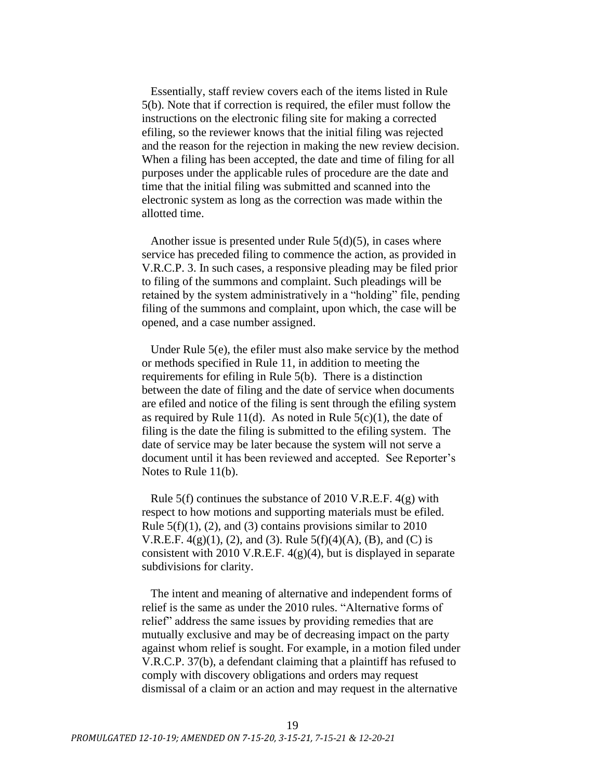Essentially, staff review covers each of the items listed in Rule 5(b). Note that if correction is required, the efiler must follow the instructions on the electronic filing site for making a corrected efiling, so the reviewer knows that the initial filing was rejected and the reason for the rejection in making the new review decision. When a filing has been accepted, the date and time of filing for all purposes under the applicable rules of procedure are the date and time that the initial filing was submitted and scanned into the electronic system as long as the correction was made within the allotted time.

Another issue is presented under Rule  $5(d)(5)$ , in cases where service has preceded filing to commence the action, as provided in V.R.C.P. 3. In such cases, a responsive pleading may be filed prior to filing of the summons and complaint. Such pleadings will be retained by the system administratively in a "holding" file, pending filing of the summons and complaint, upon which, the case will be opened, and a case number assigned.

Under Rule 5(e), the efiler must also make service by the method or methods specified in Rule 11, in addition to meeting the requirements for efiling in Rule 5(b). There is a distinction between the date of filing and the date of service when documents are efiled and notice of the filing is sent through the efiling system as required by Rule 11(d). As noted in Rule  $5(c)(1)$ , the date of filing is the date the filing is submitted to the efiling system. The date of service may be later because the system will not serve a document until it has been reviewed and accepted. See Reporter's Notes to Rule 11(b).

Rule 5(f) continues the substance of 2010 V.R.E.F. 4(g) with respect to how motions and supporting materials must be efiled. Rule  $5(f)(1)$ , (2), and (3) contains provisions similar to 2010 V.R.E.F.  $4(g)(1)$ , (2), and (3). Rule  $5(f)(4)(A)$ , (B), and (C) is consistent with 2010 V.R.E.F. 4(g)(4), but is displayed in separate subdivisions for clarity.

The intent and meaning of alternative and independent forms of relief is the same as under the 2010 rules. "Alternative forms of relief" address the same issues by providing remedies that are mutually exclusive and may be of decreasing impact on the party against whom relief is sought. For example, in a motion filed under V.R.C.P. 37(b), a defendant claiming that a plaintiff has refused to comply with discovery obligations and orders may request dismissal of a claim or an action and may request in the alternative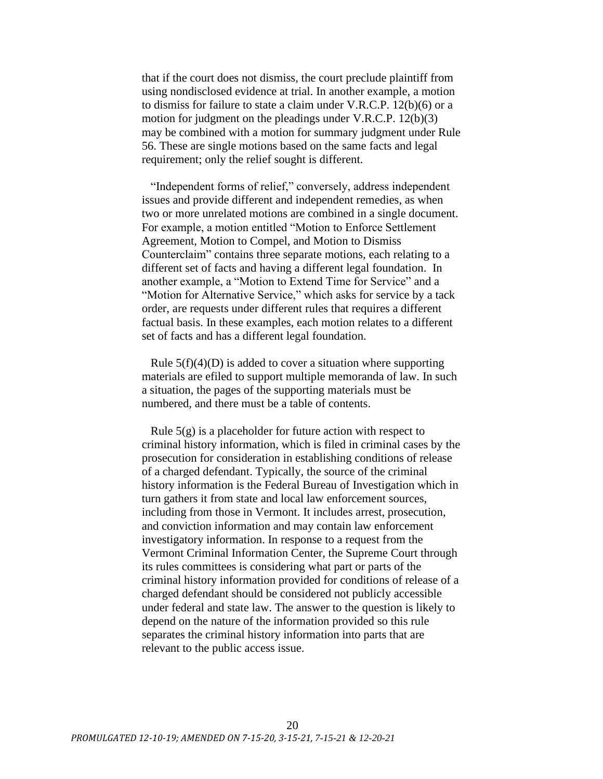that if the court does not dismiss, the court preclude plaintiff from using nondisclosed evidence at trial. In another example, a motion to dismiss for failure to state a claim under V.R.C.P. 12(b)(6) or a motion for judgment on the pleadings under V.R.C.P. 12(b)(3) may be combined with a motion for summary judgment under Rule 56. These are single motions based on the same facts and legal requirement; only the relief sought is different.

"Independent forms of relief," conversely, address independent issues and provide different and independent remedies, as when two or more unrelated motions are combined in a single document. For example, a motion entitled "Motion to Enforce Settlement Agreement, Motion to Compel, and Motion to Dismiss Counterclaim" contains three separate motions, each relating to a different set of facts and having a different legal foundation. In another example, a "Motion to Extend Time for Service" and a "Motion for Alternative Service," which asks for service by a tack order, are requests under different rules that requires a different factual basis. In these examples, each motion relates to a different set of facts and has a different legal foundation.

Rule  $5(f)(4)(D)$  is added to cover a situation where supporting materials are efiled to support multiple memoranda of law. In such a situation, the pages of the supporting materials must be numbered, and there must be a table of contents.

Rule  $5(g)$  is a placeholder for future action with respect to criminal history information, which is filed in criminal cases by the prosecution for consideration in establishing conditions of release of a charged defendant. Typically, the source of the criminal history information is the Federal Bureau of Investigation which in turn gathers it from state and local law enforcement sources, including from those in Vermont. It includes arrest, prosecution, and conviction information and may contain law enforcement investigatory information. In response to a request from the Vermont Criminal Information Center, the Supreme Court through its rules committees is considering what part or parts of the criminal history information provided for conditions of release of a charged defendant should be considered not publicly accessible under federal and state law. The answer to the question is likely to depend on the nature of the information provided so this rule separates the criminal history information into parts that are relevant to the public access issue.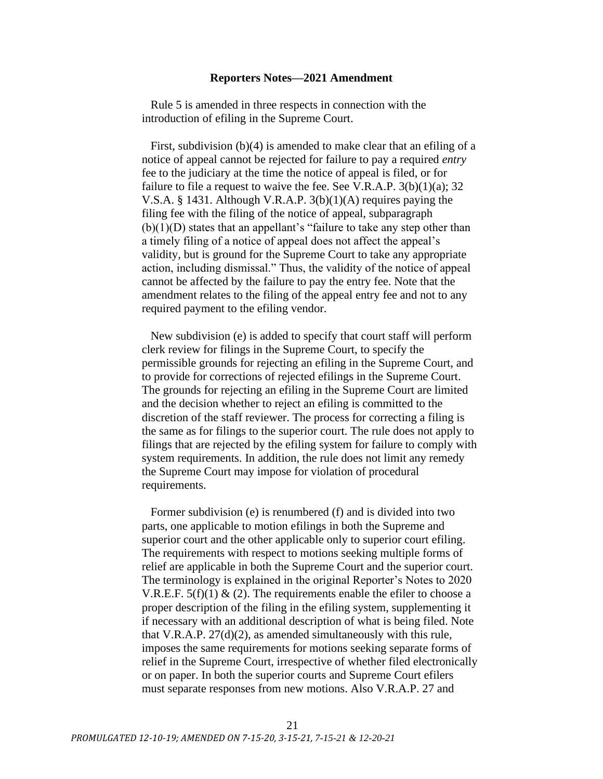### **Reporters Notes—2021 Amendment**

Rule 5 is amended in three respects in connection with the introduction of efiling in the Supreme Court.

First, subdivision (b)(4) is amended to make clear that an efiling of a notice of appeal cannot be rejected for failure to pay a required *entry* fee to the judiciary at the time the notice of appeal is filed, or for failure to file a request to waive the fee. See V.R.A.P.  $3(b)(1)(a)$ ; 32 V.S.A. § 1431. Although V.R.A.P. 3(b)(1)(A) requires paying the filing fee with the filing of the notice of appeal, subparagraph  $(b)(1)(D)$  states that an appellant's "failure to take any step other than a timely filing of a notice of appeal does not affect the appeal's validity, but is ground for the Supreme Court to take any appropriate action, including dismissal." Thus, the validity of the notice of appeal cannot be affected by the failure to pay the entry fee. Note that the amendment relates to the filing of the appeal entry fee and not to any required payment to the efiling vendor.

New subdivision (e) is added to specify that court staff will perform clerk review for filings in the Supreme Court, to specify the permissible grounds for rejecting an efiling in the Supreme Court, and to provide for corrections of rejected efilings in the Supreme Court. The grounds for rejecting an efiling in the Supreme Court are limited and the decision whether to reject an efiling is committed to the discretion of the staff reviewer. The process for correcting a filing is the same as for filings to the superior court. The rule does not apply to filings that are rejected by the efiling system for failure to comply with system requirements. In addition, the rule does not limit any remedy the Supreme Court may impose for violation of procedural requirements.

Former subdivision (e) is renumbered (f) and is divided into two parts, one applicable to motion efilings in both the Supreme and superior court and the other applicable only to superior court efiling. The requirements with respect to motions seeking multiple forms of relief are applicable in both the Supreme Court and the superior court. The terminology is explained in the original Reporter's Notes to 2020 V.R.E.F.  $5(f)(1) \& (2)$ . The requirements enable the efiler to choose a proper description of the filing in the efiling system, supplementing it if necessary with an additional description of what is being filed. Note that V.R.A.P. 27(d)(2), as amended simultaneously with this rule, imposes the same requirements for motions seeking separate forms of relief in the Supreme Court, irrespective of whether filed electronically or on paper. In both the superior courts and Supreme Court efilers must separate responses from new motions. Also V.R.A.P. 27 and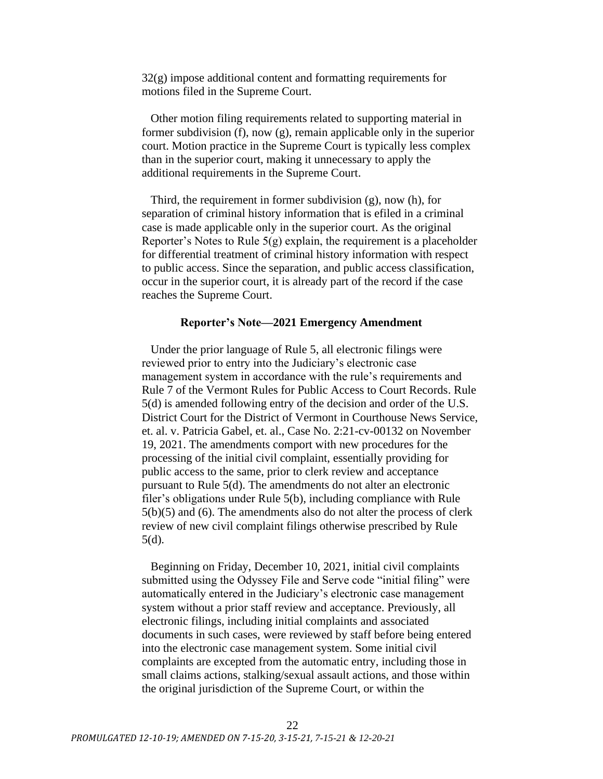32(g) impose additional content and formatting requirements for motions filed in the Supreme Court.

Other motion filing requirements related to supporting material in former subdivision (f), now (g), remain applicable only in the superior court. Motion practice in the Supreme Court is typically less complex than in the superior court, making it unnecessary to apply the additional requirements in the Supreme Court.

Third, the requirement in former subdivision (g), now (h), for separation of criminal history information that is efiled in a criminal case is made applicable only in the superior court. As the original Reporter's Notes to Rule  $5(g)$  explain, the requirement is a placeholder for differential treatment of criminal history information with respect to public access. Since the separation, and public access classification, occur in the superior court, it is already part of the record if the case reaches the Supreme Court.

### **Reporter's Note—2021 Emergency Amendment**

Under the prior language of Rule 5, all electronic filings were reviewed prior to entry into the Judiciary's electronic case management system in accordance with the rule's requirements and Rule 7 of the Vermont Rules for Public Access to Court Records. Rule 5(d) is amended following entry of the decision and order of the U.S. District Court for the District of Vermont in Courthouse News Service, et. al. v. Patricia Gabel, et. al., Case No. 2:21-cv-00132 on November 19, 2021. The amendments comport with new procedures for the processing of the initial civil complaint, essentially providing for public access to the same, prior to clerk review and acceptance pursuant to Rule 5(d). The amendments do not alter an electronic filer's obligations under Rule 5(b), including compliance with Rule 5(b)(5) and (6). The amendments also do not alter the process of clerk review of new civil complaint filings otherwise prescribed by Rule 5(d).

Beginning on Friday, December 10, 2021, initial civil complaints submitted using the Odyssey File and Serve code "initial filing" were automatically entered in the Judiciary's electronic case management system without a prior staff review and acceptance. Previously, all electronic filings, including initial complaints and associated documents in such cases, were reviewed by staff before being entered into the electronic case management system. Some initial civil complaints are excepted from the automatic entry, including those in small claims actions, stalking/sexual assault actions, and those within the original jurisdiction of the Supreme Court, or within the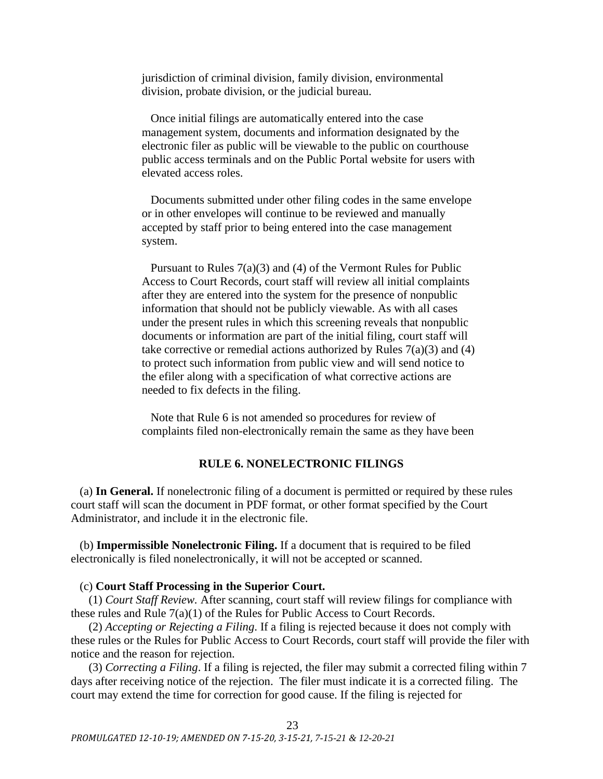jurisdiction of criminal division, family division, environmental division, probate division, or the judicial bureau.

Once initial filings are automatically entered into the case management system, documents and information designated by the electronic filer as public will be viewable to the public on courthouse public access terminals and on the Public Portal website for users with elevated access roles.

Documents submitted under other filing codes in the same envelope or in other envelopes will continue to be reviewed and manually accepted by staff prior to being entered into the case management system.

Pursuant to Rules 7(a)(3) and (4) of the Vermont Rules for Public Access to Court Records, court staff will review all initial complaints after they are entered into the system for the presence of nonpublic information that should not be publicly viewable. As with all cases under the present rules in which this screening reveals that nonpublic documents or information are part of the initial filing, court staff will take corrective or remedial actions authorized by Rules  $7(a)(3)$  and  $(4)$ to protect such information from public view and will send notice to the efiler along with a specification of what corrective actions are needed to fix defects in the filing.

Note that Rule 6 is not amended so procedures for review of complaints filed non-electronically remain the same as they have been

## **RULE 6. NONELECTRONIC FILINGS**

<span id="page-22-0"></span>(a) **In General.** If nonelectronic filing of a document is permitted or required by these rules court staff will scan the document in PDF format, or other format specified by the Court Administrator, and include it in the electronic file.

(b) **Impermissible Nonelectronic Filing.** If a document that is required to be filed electronically is filed nonelectronically, it will not be accepted or scanned.

## (c) **Court Staff Processing in the Superior Court.**

(1) *Court Staff Review.* After scanning, court staff will review filings for compliance with these rules and Rule 7(a)(1) of the Rules for Public Access to Court Records.

(2) *Accepting or Rejecting a Filing*. If a filing is rejected because it does not comply with these rules or the Rules for Public Access to Court Records, court staff will provide the filer with notice and the reason for rejection.

(3) *Correcting a Filing*. If a filing is rejected, the filer may submit a corrected filing within 7 days after receiving notice of the rejection. The filer must indicate it is a corrected filing. The court may extend the time for correction for good cause. If the filing is rejected for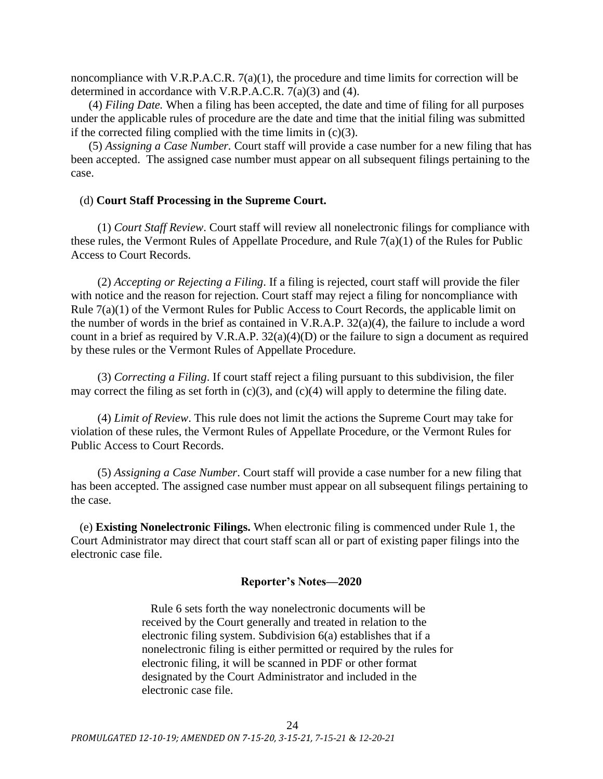noncompliance with V.R.P.A.C.R. 7(a)(1), the procedure and time limits for correction will be determined in accordance with V.R.P.A.C.R. 7(a)(3) and (4).

(4) *Filing Date.* When a filing has been accepted, the date and time of filing for all purposes under the applicable rules of procedure are the date and time that the initial filing was submitted if the corrected filing complied with the time limits in  $(c)(3)$ .

(5) *Assigning a Case Number.* Court staff will provide a case number for a new filing that has been accepted. The assigned case number must appear on all subsequent filings pertaining to the case.

## (d) **Court Staff Processing in the Supreme Court.**

(1) *Court Staff Review*. Court staff will review all nonelectronic filings for compliance with these rules, the Vermont Rules of Appellate Procedure, and Rule 7(a)(1) of the Rules for Public Access to Court Records.

(2) *Accepting or Rejecting a Filing*. If a filing is rejected, court staff will provide the filer with notice and the reason for rejection. Court staff may reject a filing for noncompliance with Rule 7(a)(1) of the Vermont Rules for Public Access to Court Records, the applicable limit on the number of words in the brief as contained in V.R.A.P. 32(a)(4), the failure to include a word count in a brief as required by V.R.A.P. 32(a)(4)(D) or the failure to sign a document as required by these rules or the Vermont Rules of Appellate Procedure.

(3) *Correcting a Filing*. If court staff reject a filing pursuant to this subdivision, the filer may correct the filing as set forth in  $(c)(3)$ , and  $(c)(4)$  will apply to determine the filing date.

(4) *Limit of Review*. This rule does not limit the actions the Supreme Court may take for violation of these rules, the Vermont Rules of Appellate Procedure, or the Vermont Rules for Public Access to Court Records.

(5) *Assigning a Case Number*. Court staff will provide a case number for a new filing that has been accepted. The assigned case number must appear on all subsequent filings pertaining to the case.

(e) **Existing Nonelectronic Filings.** When electronic filing is commenced under Rule 1, the Court Administrator may direct that court staff scan all or part of existing paper filings into the electronic case file.

# **Reporter's Notes—2020**

Rule 6 sets forth the way nonelectronic documents will be received by the Court generally and treated in relation to the electronic filing system. Subdivision 6(a) establishes that if a nonelectronic filing is either permitted or required by the rules for electronic filing, it will be scanned in PDF or other format designated by the Court Administrator and included in the electronic case file.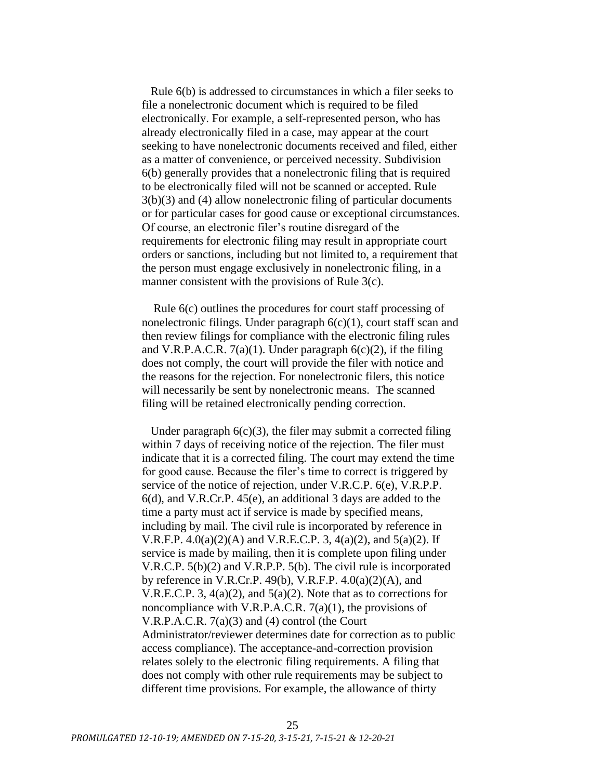Rule 6(b) is addressed to circumstances in which a filer seeks to file a nonelectronic document which is required to be filed electronically. For example, a self-represented person, who has already electronically filed in a case, may appear at the court seeking to have nonelectronic documents received and filed, either as a matter of convenience, or perceived necessity. Subdivision 6(b) generally provides that a nonelectronic filing that is required to be electronically filed will not be scanned or accepted. Rule 3(b)(3) and (4) allow nonelectronic filing of particular documents or for particular cases for good cause or exceptional circumstances. Of course, an electronic filer's routine disregard of the requirements for electronic filing may result in appropriate court orders or sanctions, including but not limited to, a requirement that the person must engage exclusively in nonelectronic filing, in a manner consistent with the provisions of Rule 3(c).

Rule 6(c) outlines the procedures for court staff processing of nonelectronic filings. Under paragraph  $6(c)(1)$ , court staff scan and then review filings for compliance with the electronic filing rules and V.R.P.A.C.R.  $7(a)(1)$ . Under paragraph  $6(c)(2)$ , if the filing does not comply, the court will provide the filer with notice and the reasons for the rejection. For nonelectronic filers, this notice will necessarily be sent by nonelectronic means. The scanned filing will be retained electronically pending correction.

Under paragraph  $6(c)(3)$ , the filer may submit a corrected filing within 7 days of receiving notice of the rejection. The filer must indicate that it is a corrected filing. The court may extend the time for good cause. Because the filer's time to correct is triggered by service of the notice of rejection, under V.R.C.P. 6(e), V.R.P.P. 6(d), and V.R.Cr.P. 45(e), an additional 3 days are added to the time a party must act if service is made by specified means, including by mail. The civil rule is incorporated by reference in V.R.F.P.  $4.0(a)(2)(A)$  and V.R.E.C.P. 3,  $4(a)(2)$ , and  $5(a)(2)$ . If service is made by mailing, then it is complete upon filing under V.R.C.P. 5(b)(2) and V.R.P.P. 5(b). The civil rule is incorporated by reference in V.R.Cr.P. 49(b), V.R.F.P.  $4.0(a)(2)(A)$ , and V.R.E.C.P. 3, 4(a)(2), and 5(a)(2). Note that as to corrections for noncompliance with V.R.P.A.C.R. 7(a)(1), the provisions of V.R.P.A.C.R. 7(a)(3) and (4) control (the Court Administrator/reviewer determines date for correction as to public access compliance). The acceptance-and-correction provision relates solely to the electronic filing requirements. A filing that does not comply with other rule requirements may be subject to different time provisions. For example, the allowance of thirty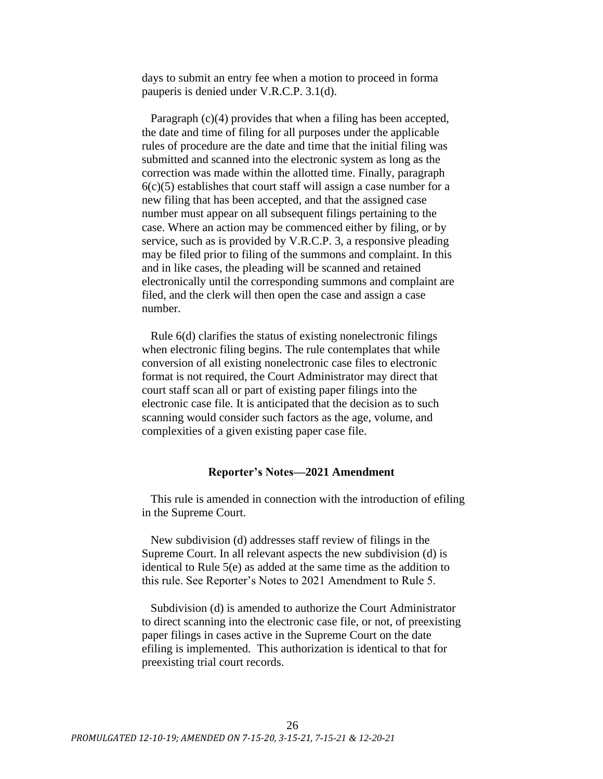days to submit an entry fee when a motion to proceed in forma pauperis is denied under V.R.C.P. 3.1(d).

Paragraph (c)(4) provides that when a filing has been accepted, the date and time of filing for all purposes under the applicable rules of procedure are the date and time that the initial filing was submitted and scanned into the electronic system as long as the correction was made within the allotted time. Finally, paragraph  $6(c)(5)$  establishes that court staff will assign a case number for a new filing that has been accepted, and that the assigned case number must appear on all subsequent filings pertaining to the case. Where an action may be commenced either by filing, or by service, such as is provided by V.R.C.P. 3, a responsive pleading may be filed prior to filing of the summons and complaint. In this and in like cases, the pleading will be scanned and retained electronically until the corresponding summons and complaint are filed, and the clerk will then open the case and assign a case number.

Rule 6(d) clarifies the status of existing nonelectronic filings when electronic filing begins. The rule contemplates that while conversion of all existing nonelectronic case files to electronic format is not required, the Court Administrator may direct that court staff scan all or part of existing paper filings into the electronic case file. It is anticipated that the decision as to such scanning would consider such factors as the age, volume, and complexities of a given existing paper case file.

### **Reporter's Notes—2021 Amendment**

This rule is amended in connection with the introduction of efiling in the Supreme Court.

New subdivision (d) addresses staff review of filings in the Supreme Court. In all relevant aspects the new subdivision (d) is identical to Rule 5(e) as added at the same time as the addition to this rule. See Reporter's Notes to 2021 Amendment to Rule 5.

Subdivision (d) is amended to authorize the Court Administrator to direct scanning into the electronic case file, or not, of preexisting paper filings in cases active in the Supreme Court on the date efiling is implemented. This authorization is identical to that for preexisting trial court records.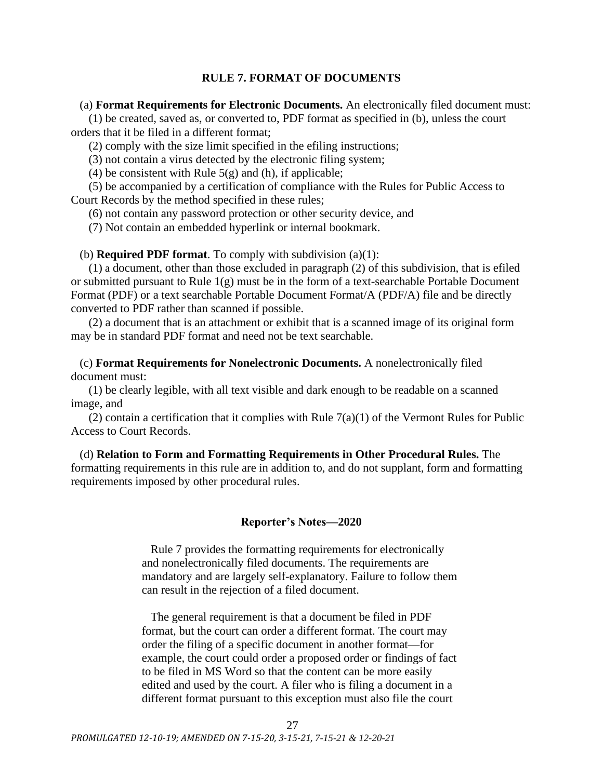# **RULE 7. FORMAT OF DOCUMENTS**

<span id="page-26-0"></span>(a) **Format Requirements for Electronic Documents.** An electronically filed document must:

(1) be created, saved as, or converted to, PDF format as specified in (b), unless the court orders that it be filed in a different format;

(2) comply with the size limit specified in the efiling instructions;

(3) not contain a virus detected by the electronic filing system;

(4) be consistent with Rule  $5(g)$  and (h), if applicable;

(5) be accompanied by a certification of compliance with the Rules for Public Access to Court Records by the method specified in these rules;

(6) not contain any password protection or other security device, and

(7) Not contain an embedded hyperlink or internal bookmark.

(b) **Required PDF format**. To comply with subdivision (a)(1):

(1) a document, other than those excluded in paragraph (2) of this subdivision, that is efiled or submitted pursuant to Rule 1(g) must be in the form of a text-searchable Portable Document Format (PDF) or a text searchable Portable Document Format/A (PDF/A) file and be directly converted to PDF rather than scanned if possible.

(2) a document that is an attachment or exhibit that is a scanned image of its original form may be in standard PDF format and need not be text searchable.

(c) **Format Requirements for Nonelectronic Documents.** A nonelectronically filed document must:

(1) be clearly legible, with all text visible and dark enough to be readable on a scanned image, and

(2) contain a certification that it complies with Rule  $7(a)(1)$  of the Vermont Rules for Public Access to Court Records.

(d) **Relation to Form and Formatting Requirements in Other Procedural Rules.** The formatting requirements in this rule are in addition to, and do not supplant, form and formatting requirements imposed by other procedural rules.

### **Reporter's Notes—2020**

Rule 7 provides the formatting requirements for electronically and nonelectronically filed documents. The requirements are mandatory and are largely self-explanatory. Failure to follow them can result in the rejection of a filed document.

The general requirement is that a document be filed in PDF format, but the court can order a different format. The court may order the filing of a specific document in another format—for example, the court could order a proposed order or findings of fact to be filed in MS Word so that the content can be more easily edited and used by the court. A filer who is filing a document in a different format pursuant to this exception must also file the court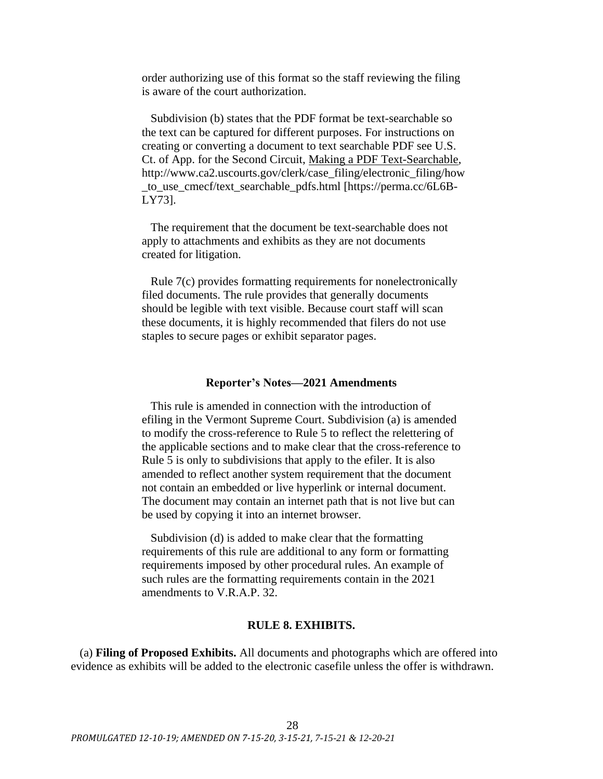order authorizing use of this format so the staff reviewing the filing is aware of the court authorization.

Subdivision (b) states that the PDF format be text-searchable so the text can be captured for different purposes. For instructions on creating or converting a document to text searchable PDF see U.S. Ct. of App. for the Second Circuit, Making a PDF Text-Searchable, http://www.ca2.uscourts.gov/clerk/case\_filing/electronic\_filing/how to use cmecf/text searchable pdfs.html [https://perma.cc/6L6B-LY73].

The requirement that the document be text-searchable does not apply to attachments and exhibits as they are not documents created for litigation.

Rule 7(c) provides formatting requirements for nonelectronically filed documents. The rule provides that generally documents should be legible with text visible. Because court staff will scan these documents, it is highly recommended that filers do not use staples to secure pages or exhibit separator pages.

#### **Reporter's Notes—2021 Amendments**

This rule is amended in connection with the introduction of efiling in the Vermont Supreme Court. Subdivision (a) is amended to modify the cross-reference to Rule 5 to reflect the relettering of the applicable sections and to make clear that the cross-reference to Rule 5 is only to subdivisions that apply to the efiler. It is also amended to reflect another system requirement that the document not contain an embedded or live hyperlink or internal document. The document may contain an internet path that is not live but can be used by copying it into an internet browser.

Subdivision (d) is added to make clear that the formatting requirements of this rule are additional to any form or formatting requirements imposed by other procedural rules. An example of such rules are the formatting requirements contain in the 2021 amendments to V.R.A.P. 32.

### **RULE 8. EXHIBITS.**

<span id="page-27-0"></span>(a) **Filing of Proposed Exhibits.** All documents and photographs which are offered into evidence as exhibits will be added to the electronic casefile unless the offer is withdrawn.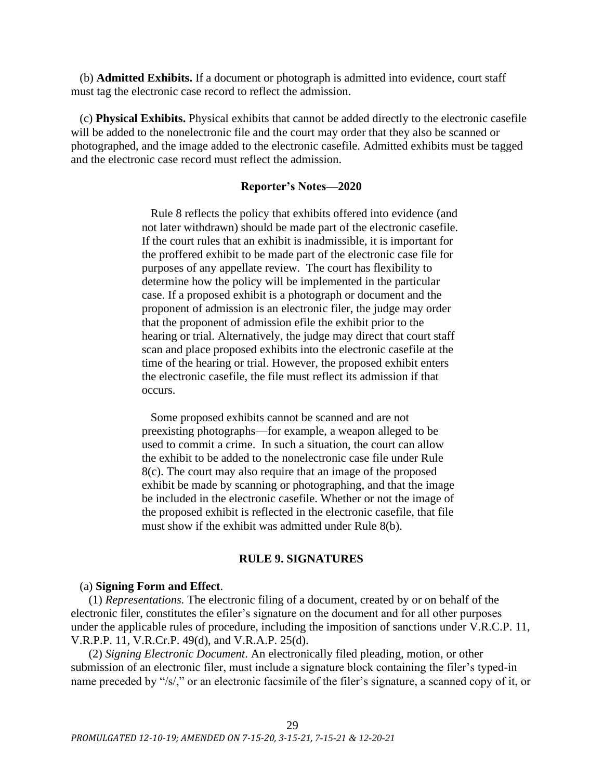(b) **Admitted Exhibits.** If a document or photograph is admitted into evidence, court staff must tag the electronic case record to reflect the admission.

(c) **Physical Exhibits.** Physical exhibits that cannot be added directly to the electronic casefile will be added to the nonelectronic file and the court may order that they also be scanned or photographed, and the image added to the electronic casefile. Admitted exhibits must be tagged and the electronic case record must reflect the admission.

## **Reporter's Notes—2020**

Rule 8 reflects the policy that exhibits offered into evidence (and not later withdrawn) should be made part of the electronic casefile. If the court rules that an exhibit is inadmissible, it is important for the proffered exhibit to be made part of the electronic case file for purposes of any appellate review. The court has flexibility to determine how the policy will be implemented in the particular case. If a proposed exhibit is a photograph or document and the proponent of admission is an electronic filer, the judge may order that the proponent of admission efile the exhibit prior to the hearing or trial. Alternatively, the judge may direct that court staff scan and place proposed exhibits into the electronic casefile at the time of the hearing or trial. However, the proposed exhibit enters the electronic casefile, the file must reflect its admission if that occurs.

Some proposed exhibits cannot be scanned and are not preexisting photographs—for example, a weapon alleged to be used to commit a crime. In such a situation, the court can allow the exhibit to be added to the nonelectronic case file under Rule 8(c). The court may also require that an image of the proposed exhibit be made by scanning or photographing, and that the image be included in the electronic casefile. Whether or not the image of the proposed exhibit is reflected in the electronic casefile, that file must show if the exhibit was admitted under Rule 8(b).

## **RULE 9. SIGNATURES**

#### <span id="page-28-0"></span>(a) **Signing Form and Effect**.

(1) *Representations.* The electronic filing of a document, created by or on behalf of the electronic filer, constitutes the efiler's signature on the document and for all other purposes under the applicable rules of procedure, including the imposition of sanctions under V.R.C.P. 11, V.R.P.P. 11, V.R.Cr.P. 49(d), and V.R.A.P. 25(d).

(2) *Signing Electronic Document*. An electronically filed pleading, motion, or other submission of an electronic filer, must include a signature block containing the filer's typed-in name preceded by "/s/," or an electronic facsimile of the filer's signature, a scanned copy of it, or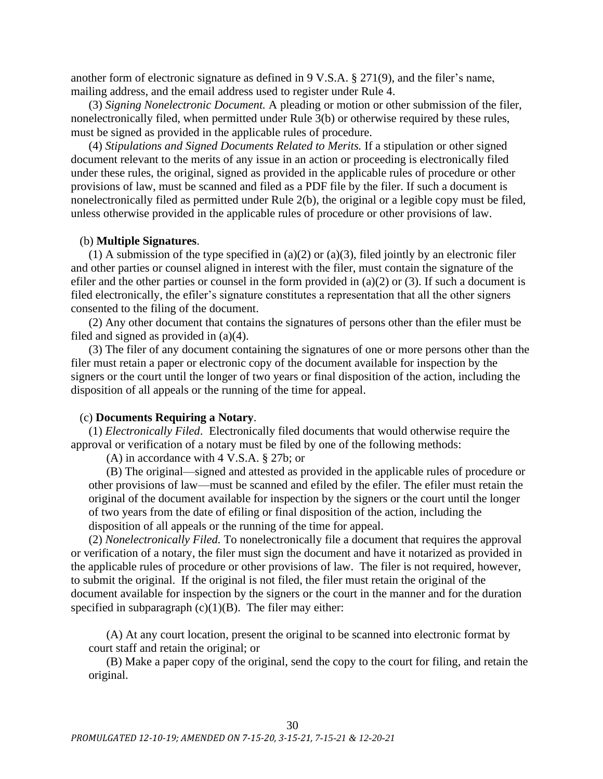another form of electronic signature as defined in 9 V.S.A. § 271(9), and the filer's name, mailing address, and the email address used to register under Rule 4.

(3) *Signing Nonelectronic Document.* A pleading or motion or other submission of the filer, nonelectronically filed, when permitted under Rule 3(b) or otherwise required by these rules, must be signed as provided in the applicable rules of procedure.

(4) *Stipulations and Signed Documents Related to Merits.* If a stipulation or other signed document relevant to the merits of any issue in an action or proceeding is electronically filed under these rules, the original, signed as provided in the applicable rules of procedure or other provisions of law, must be scanned and filed as a PDF file by the filer. If such a document is nonelectronically filed as permitted under Rule 2(b), the original or a legible copy must be filed, unless otherwise provided in the applicable rules of procedure or other provisions of law.

### (b) **Multiple Signatures**.

(1) A submission of the type specified in (a)(2) or (a)(3), filed jointly by an electronic filer and other parties or counsel aligned in interest with the filer, must contain the signature of the efiler and the other parties or counsel in the form provided in  $(a)(2)$  or  $(3)$ . If such a document is filed electronically, the efiler's signature constitutes a representation that all the other signers consented to the filing of the document.

(2) Any other document that contains the signatures of persons other than the efiler must be filed and signed as provided in (a)(4).

(3) The filer of any document containing the signatures of one or more persons other than the filer must retain a paper or electronic copy of the document available for inspection by the signers or the court until the longer of two years or final disposition of the action, including the disposition of all appeals or the running of the time for appeal.

## (c) **Documents Requiring a Notary**.

(1) *Electronically Filed*. Electronically filed documents that would otherwise require the approval or verification of a notary must be filed by one of the following methods:

(A) in accordance with 4 V.S.A. § 27b; or

(B) The original—signed and attested as provided in the applicable rules of procedure or other provisions of law—must be scanned and efiled by the efiler. The efiler must retain the original of the document available for inspection by the signers or the court until the longer of two years from the date of efiling or final disposition of the action, including the disposition of all appeals or the running of the time for appeal.

(2) *Nonelectronically Filed.* To nonelectronically file a document that requires the approval or verification of a notary, the filer must sign the document and have it notarized as provided in the applicable rules of procedure or other provisions of law. The filer is not required, however, to submit the original. If the original is not filed, the filer must retain the original of the document available for inspection by the signers or the court in the manner and for the duration specified in subparagraph  $(c)(1)(B)$ . The filer may either:

(A) At any court location, present the original to be scanned into electronic format by court staff and retain the original; or

(B) Make a paper copy of the original, send the copy to the court for filing, and retain the original.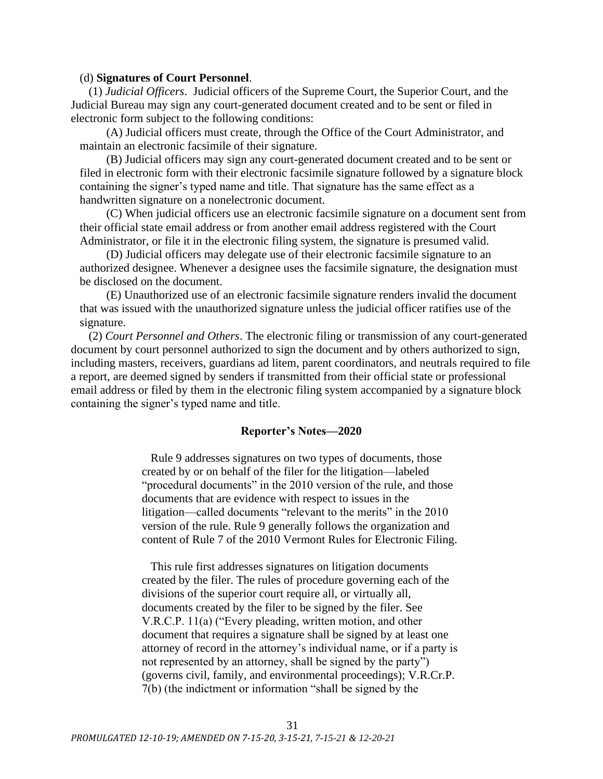### (d) **Signatures of Court Personnel**.

(1) *Judicial Officers*. Judicial officers of the Supreme Court, the Superior Court, and the Judicial Bureau may sign any court-generated document created and to be sent or filed in electronic form subject to the following conditions:

(A) Judicial officers must create, through the Office of the Court Administrator, and maintain an electronic facsimile of their signature.

(B) Judicial officers may sign any court-generated document created and to be sent or filed in electronic form with their electronic facsimile signature followed by a signature block containing the signer's typed name and title. That signature has the same effect as a handwritten signature on a nonelectronic document.

(C) When judicial officers use an electronic facsimile signature on a document sent from their official state email address or from another email address registered with the Court Administrator, or file it in the electronic filing system, the signature is presumed valid.

(D) Judicial officers may delegate use of their electronic facsimile signature to an authorized designee. Whenever a designee uses the facsimile signature, the designation must be disclosed on the document.

(E) Unauthorized use of an electronic facsimile signature renders invalid the document that was issued with the unauthorized signature unless the judicial officer ratifies use of the signature.

(2) *Court Personnel and Others*. The electronic filing or transmission of any court-generated document by court personnel authorized to sign the document and by others authorized to sign, including masters, receivers, guardians ad litem, parent coordinators, and neutrals required to file a report, are deemed signed by senders if transmitted from their official state or professional email address or filed by them in the electronic filing system accompanied by a signature block containing the signer's typed name and title.

### **Reporter's Notes—2020**

Rule 9 addresses signatures on two types of documents, those created by or on behalf of the filer for the litigation—labeled "procedural documents" in the 2010 version of the rule, and those documents that are evidence with respect to issues in the litigation—called documents "relevant to the merits" in the 2010 version of the rule. Rule 9 generally follows the organization and content of Rule 7 of the 2010 Vermont Rules for Electronic Filing.

This rule first addresses signatures on litigation documents created by the filer. The rules of procedure governing each of the divisions of the superior court require all, or virtually all, documents created by the filer to be signed by the filer. See V.R.C.P. 11(a) ("Every pleading, written motion, and other document that requires a signature shall be signed by at least one attorney of record in the attorney's individual name, or if a party is not represented by an attorney, shall be signed by the party") (governs civil, family, and environmental proceedings); V.R.Cr.P. 7(b) (the indictment or information "shall be signed by the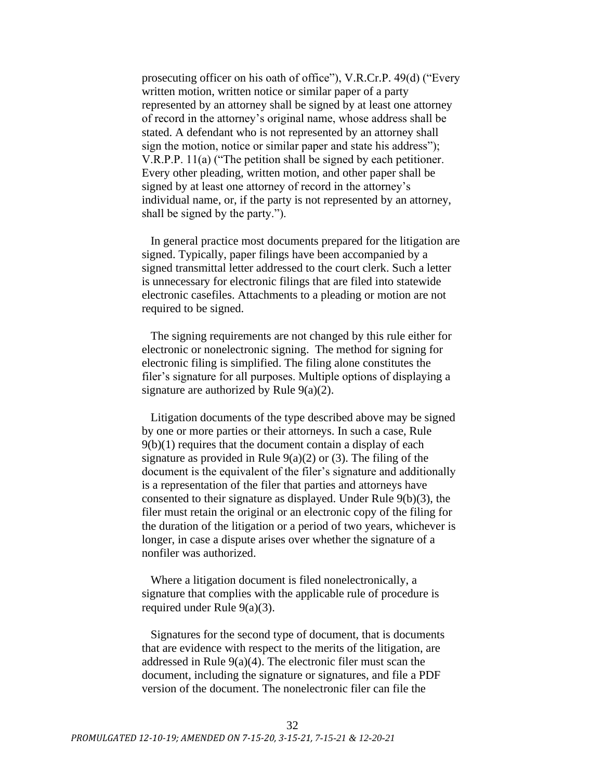prosecuting officer on his oath of office"), V.R.Cr.P. 49(d) ("Every written motion, written notice or similar paper of a party represented by an attorney shall be signed by at least one attorney of record in the attorney's original name, whose address shall be stated. A defendant who is not represented by an attorney shall sign the motion, notice or similar paper and state his address"); V.R.P.P. 11(a) ("The petition shall be signed by each petitioner. Every other pleading, written motion, and other paper shall be signed by at least one attorney of record in the attorney's individual name, or, if the party is not represented by an attorney, shall be signed by the party.").

In general practice most documents prepared for the litigation are signed. Typically, paper filings have been accompanied by a signed transmittal letter addressed to the court clerk. Such a letter is unnecessary for electronic filings that are filed into statewide electronic casefiles. Attachments to a pleading or motion are not required to be signed.

The signing requirements are not changed by this rule either for electronic or nonelectronic signing. The method for signing for electronic filing is simplified. The filing alone constitutes the filer's signature for all purposes. Multiple options of displaying a signature are authorized by Rule 9(a)(2).

Litigation documents of the type described above may be signed by one or more parties or their attorneys. In such a case, Rule  $9(b)(1)$  requires that the document contain a display of each signature as provided in Rule  $9(a)(2)$  or (3). The filing of the document is the equivalent of the filer's signature and additionally is a representation of the filer that parties and attorneys have consented to their signature as displayed. Under Rule 9(b)(3), the filer must retain the original or an electronic copy of the filing for the duration of the litigation or a period of two years, whichever is longer, in case a dispute arises over whether the signature of a nonfiler was authorized.

Where a litigation document is filed nonelectronically, a signature that complies with the applicable rule of procedure is required under Rule 9(a)(3).

Signatures for the second type of document, that is documents that are evidence with respect to the merits of the litigation, are addressed in Rule 9(a)(4). The electronic filer must scan the document, including the signature or signatures, and file a PDF version of the document. The nonelectronic filer can file the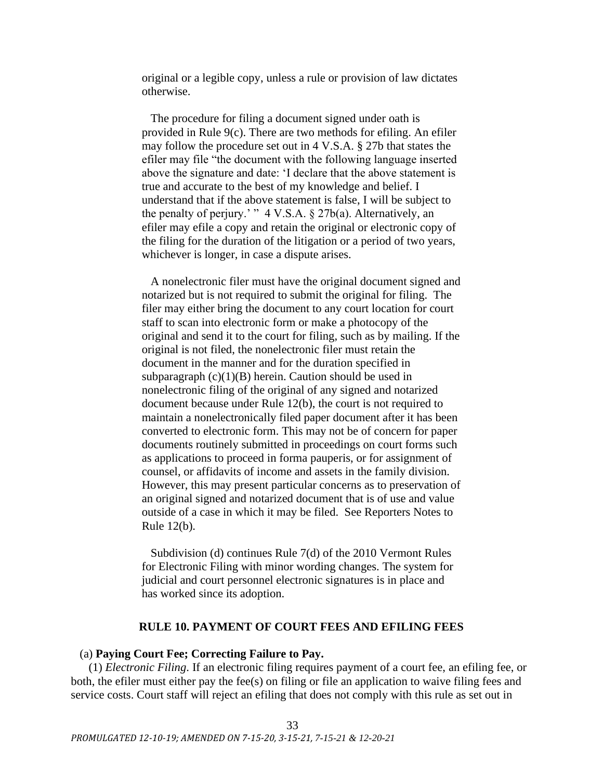original or a legible copy, unless a rule or provision of law dictates otherwise.

The procedure for filing a document signed under oath is provided in Rule 9(c). There are two methods for efiling. An efiler may follow the procedure set out in 4 V.S.A. § 27b that states the efiler may file "the document with the following language inserted above the signature and date: 'I declare that the above statement is true and accurate to the best of my knowledge and belief. I understand that if the above statement is false, I will be subject to the penalty of perjury.' "  $4 \text{ V.S.A.}$  § 27b(a). Alternatively, an efiler may efile a copy and retain the original or electronic copy of the filing for the duration of the litigation or a period of two years, whichever is longer, in case a dispute arises.

A nonelectronic filer must have the original document signed and notarized but is not required to submit the original for filing. The filer may either bring the document to any court location for court staff to scan into electronic form or make a photocopy of the original and send it to the court for filing, such as by mailing. If the original is not filed, the nonelectronic filer must retain the document in the manner and for the duration specified in subparagraph  $(c)(1)(B)$  herein. Caution should be used in nonelectronic filing of the original of any signed and notarized document because under Rule 12(b), the court is not required to maintain a nonelectronically filed paper document after it has been converted to electronic form. This may not be of concern for paper documents routinely submitted in proceedings on court forms such as applications to proceed in forma pauperis, or for assignment of counsel, or affidavits of income and assets in the family division. However, this may present particular concerns as to preservation of an original signed and notarized document that is of use and value outside of a case in which it may be filed. See Reporters Notes to Rule 12(b).

Subdivision (d) continues Rule 7(d) of the 2010 Vermont Rules for Electronic Filing with minor wording changes. The system for judicial and court personnel electronic signatures is in place and has worked since its adoption.

## **RULE 10. PAYMENT OF COURT FEES AND EFILING FEES**

# <span id="page-32-0"></span>(a) **Paying Court Fee; Correcting Failure to Pay.**

(1) *Electronic Filing*. If an electronic filing requires payment of a court fee, an efiling fee, or both, the efiler must either pay the fee(s) on filing or file an application to waive filing fees and service costs. Court staff will reject an efiling that does not comply with this rule as set out in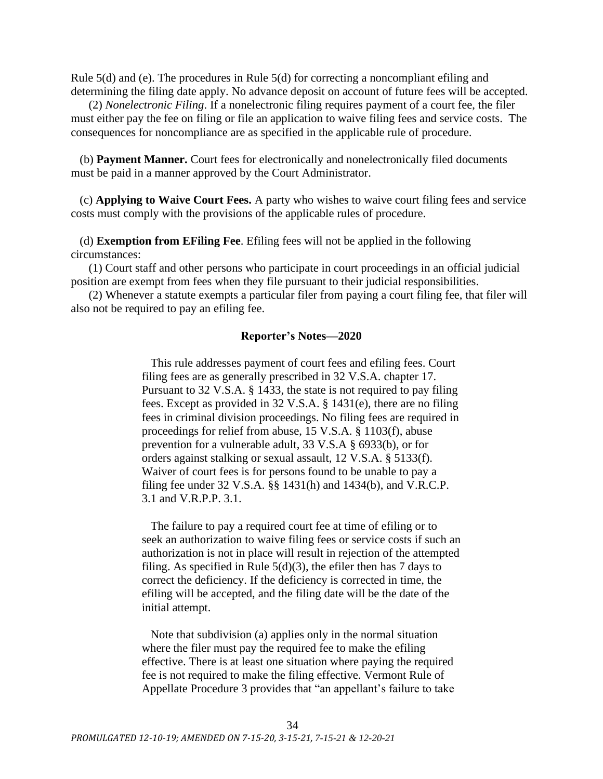Rule 5(d) and (e). The procedures in Rule 5(d) for correcting a noncompliant efiling and determining the filing date apply. No advance deposit on account of future fees will be accepted.

(2) *Nonelectronic Filing*. If a nonelectronic filing requires payment of a court fee, the filer must either pay the fee on filing or file an application to waive filing fees and service costs. The consequences for noncompliance are as specified in the applicable rule of procedure.

(b) **Payment Manner.** Court fees for electronically and nonelectronically filed documents must be paid in a manner approved by the Court Administrator.

(c) **Applying to Waive Court Fees.** A party who wishes to waive court filing fees and service costs must comply with the provisions of the applicable rules of procedure.

## (d) **Exemption from EFiling Fee**. Efiling fees will not be applied in the following circumstances:

(1) Court staff and other persons who participate in court proceedings in an official judicial position are exempt from fees when they file pursuant to their judicial responsibilities.

(2) Whenever a statute exempts a particular filer from paying a court filing fee, that filer will also not be required to pay an efiling fee.

## **Reporter's Notes—2020**

This rule addresses payment of court fees and efiling fees. Court filing fees are as generally prescribed in 32 V.S.A. chapter 17. Pursuant to 32 V.S.A. § 1433, the state is not required to pay filing fees. Except as provided in 32 V.S.A. § 1431(e), there are no filing fees in criminal division proceedings. No filing fees are required in proceedings for relief from abuse, 15 V.S.A. § 1103(f), abuse prevention for a vulnerable adult, 33 V.S.A § 6933(b), or for orders against stalking or sexual assault, 12 V.S.A. § 5133(f). Waiver of court fees is for persons found to be unable to pay a filing fee under 32 V.S.A. §§ 1431(h) and 1434(b), and V.R.C.P. 3.1 and V.R.P.P. 3.1.

The failure to pay a required court fee at time of efiling or to seek an authorization to waive filing fees or service costs if such an authorization is not in place will result in rejection of the attempted filing. As specified in Rule  $5(d)(3)$ , the efiler then has 7 days to correct the deficiency. If the deficiency is corrected in time, the efiling will be accepted, and the filing date will be the date of the initial attempt.

Note that subdivision (a) applies only in the normal situation where the filer must pay the required fee to make the efiling effective. There is at least one situation where paying the required fee is not required to make the filing effective. Vermont Rule of Appellate Procedure 3 provides that "an appellant's failure to take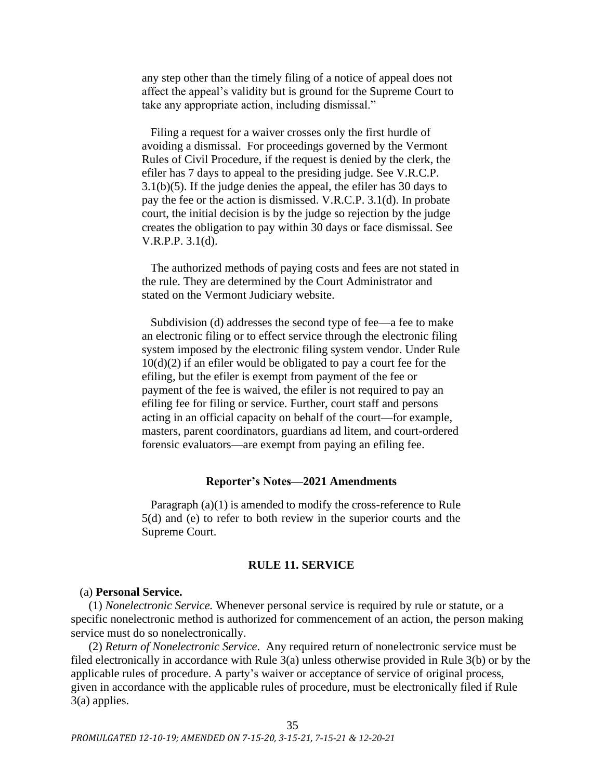any step other than the timely filing of a notice of appeal does not affect the appeal's validity but is ground for the Supreme Court to take any appropriate action, including dismissal."

Filing a request for a waiver crosses only the first hurdle of avoiding a dismissal. For proceedings governed by the Vermont Rules of Civil Procedure, if the request is denied by the clerk, the efiler has 7 days to appeal to the presiding judge. See V.R.C.P. 3.1(b)(5). If the judge denies the appeal, the efiler has 30 days to pay the fee or the action is dismissed. V.R.C.P. 3.1(d). In probate court, the initial decision is by the judge so rejection by the judge creates the obligation to pay within 30 days or face dismissal. See V.R.P.P. 3.1(d).

The authorized methods of paying costs and fees are not stated in the rule. They are determined by the Court Administrator and stated on the Vermont Judiciary website.

Subdivision (d) addresses the second type of fee—a fee to make an electronic filing or to effect service through the electronic filing system imposed by the electronic filing system vendor. Under Rule  $10(d)(2)$  if an efiler would be obligated to pay a court fee for the efiling, but the efiler is exempt from payment of the fee or payment of the fee is waived, the efiler is not required to pay an efiling fee for filing or service. Further, court staff and persons acting in an official capacity on behalf of the court—for example, masters, parent coordinators, guardians ad litem, and court-ordered forensic evaluators—are exempt from paying an efiling fee.

## **Reporter's Notes—2021 Amendments**

Paragraph (a)(1) is amended to modify the cross-reference to Rule 5(d) and (e) to refer to both review in the superior courts and the Supreme Court.

## **RULE 11. SERVICE**

#### <span id="page-34-0"></span>(a) **Personal Service.**

(1) *Nonelectronic Service.* Whenever personal service is required by rule or statute, or a specific nonelectronic method is authorized for commencement of an action, the person making service must do so nonelectronically.

(2) *Return of Nonelectronic Service*. Any required return of nonelectronic service must be filed electronically in accordance with Rule 3(a) unless otherwise provided in Rule 3(b) or by the applicable rules of procedure. A party's waiver or acceptance of service of original process, given in accordance with the applicable rules of procedure, must be electronically filed if Rule 3(a) applies.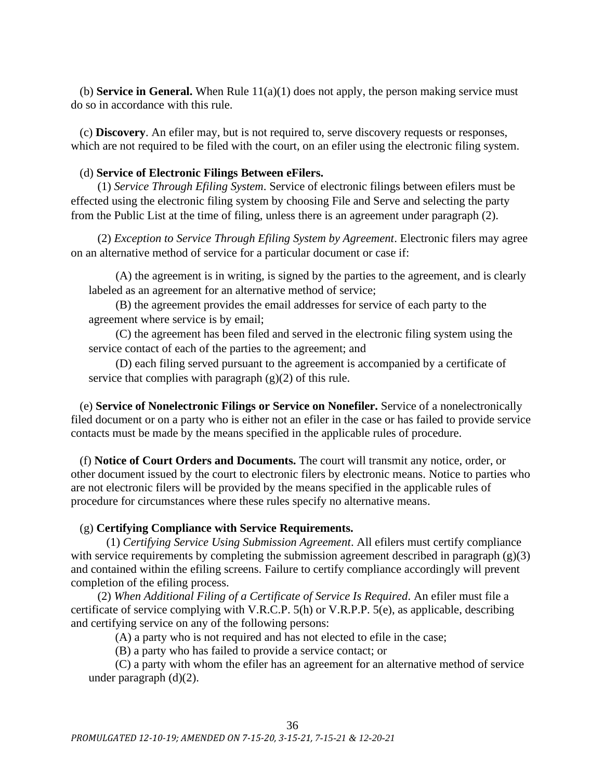(b) **Service in General.** When Rule 11(a)(1) does not apply, the person making service must do so in accordance with this rule.

(c) **Discovery**. An efiler may, but is not required to, serve discovery requests or responses, which are not required to be filed with the court, on an efiler using the electronic filing system.

# (d) **Service of Electronic Filings Between eFilers.**

(1) *Service Through Efiling System*. Service of electronic filings between efilers must be effected using the electronic filing system by choosing File and Serve and selecting the party from the Public List at the time of filing, unless there is an agreement under paragraph (2).

(2) *Exception to Service Through Efiling System by Agreement*. Electronic filers may agree on an alternative method of service for a particular document or case if:

(A) the agreement is in writing, is signed by the parties to the agreement, and is clearly labeled as an agreement for an alternative method of service;

(B) the agreement provides the email addresses for service of each party to the agreement where service is by email;

(C) the agreement has been filed and served in the electronic filing system using the service contact of each of the parties to the agreement; and

(D) each filing served pursuant to the agreement is accompanied by a certificate of service that complies with paragraph  $(g)(2)$  of this rule.

(e) **Service of Nonelectronic Filings or Service on Nonefiler.** Service of a nonelectronically filed document or on a party who is either not an efiler in the case or has failed to provide service contacts must be made by the means specified in the applicable rules of procedure.

(f) **Notice of Court Orders and Documents.** The court will transmit any notice, order, or other document issued by the court to electronic filers by electronic means. Notice to parties who are not electronic filers will be provided by the means specified in the applicable rules of procedure for circumstances where these rules specify no alternative means.

## (g) **Certifying Compliance with Service Requirements.**

(1) *Certifying Service Using Submission Agreement*. All efilers must certify compliance with service requirements by completing the submission agreement described in paragraph (g)(3) and contained within the efiling screens. Failure to certify compliance accordingly will prevent completion of the efiling process.

(2) *When Additional Filing of a Certificate of Service Is Required*. An efiler must file a certificate of service complying with V.R.C.P. 5(h) or V.R.P.P. 5(e), as applicable, describing and certifying service on any of the following persons:

(A) a party who is not required and has not elected to efile in the case;

(B) a party who has failed to provide a service contact; or

(C) a party with whom the efiler has an agreement for an alternative method of service under paragraph (d)(2).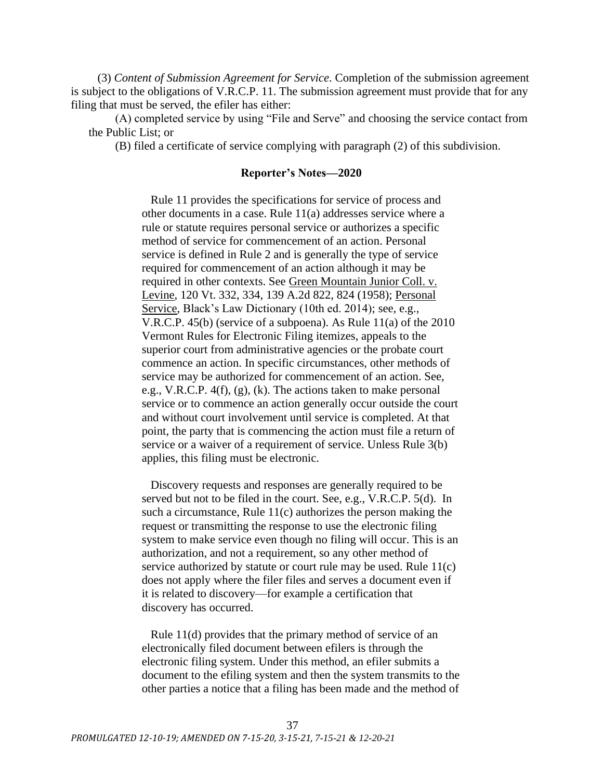(3) *Content of Submission Agreement for Service*. Completion of the submission agreement is subject to the obligations of V.R.C.P. 11. The submission agreement must provide that for any filing that must be served, the efiler has either:

(A) completed service by using "File and Serve" and choosing the service contact from the Public List; or

(B) filed a certificate of service complying with paragraph (2) of this subdivision.

### **Reporter's Notes—2020**

Rule 11 provides the specifications for service of process and other documents in a case. Rule 11(a) addresses service where a rule or statute requires personal service or authorizes a specific method of service for commencement of an action. Personal service is defined in Rule 2 and is generally the type of service required for commencement of an action although it may be required in other contexts. See Green Mountain Junior Coll. v. Levine, 120 Vt. 332, 334, 139 A.2d 822, 824 (1958); Personal Service, Black's Law Dictionary (10th ed. 2014); see, e.g., V.R.C.P. 45(b) (service of a subpoena). As Rule 11(a) of the 2010 Vermont Rules for Electronic Filing itemizes, appeals to the superior court from administrative agencies or the probate court commence an action. In specific circumstances, other methods of service may be authorized for commencement of an action. See, e.g., V.R.C.P. 4(f), (g), (k). The actions taken to make personal service or to commence an action generally occur outside the court and without court involvement until service is completed. At that point, the party that is commencing the action must file a return of service or a waiver of a requirement of service. Unless Rule 3(b) applies, this filing must be electronic.

Discovery requests and responses are generally required to be served but not to be filed in the court. See, e.g., V.R.C.P. 5(d). In such a circumstance, Rule 11(c) authorizes the person making the request or transmitting the response to use the electronic filing system to make service even though no filing will occur. This is an authorization, and not a requirement, so any other method of service authorized by statute or court rule may be used. Rule 11(c) does not apply where the filer files and serves a document even if it is related to discovery—for example a certification that discovery has occurred.

Rule 11(d) provides that the primary method of service of an electronically filed document between efilers is through the electronic filing system. Under this method, an efiler submits a document to the efiling system and then the system transmits to the other parties a notice that a filing has been made and the method of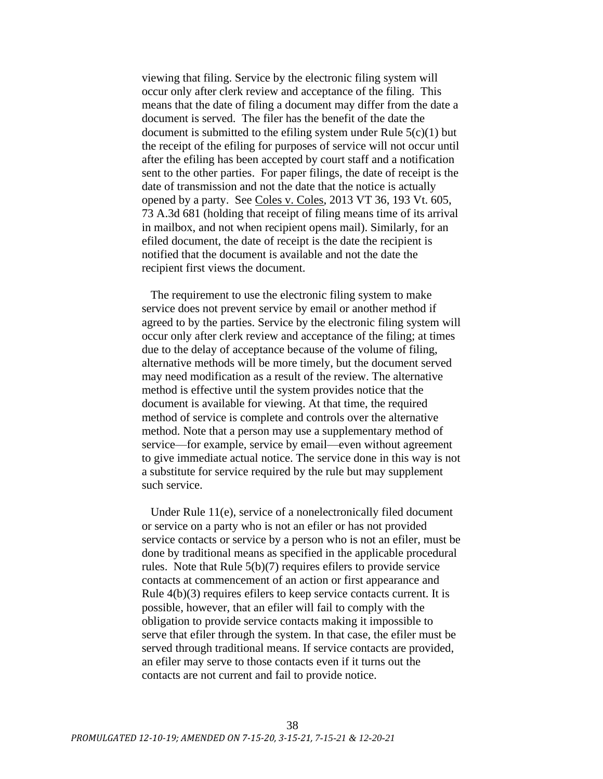viewing that filing. Service by the electronic filing system will occur only after clerk review and acceptance of the filing. This means that the date of filing a document may differ from the date a document is served. The filer has the benefit of the date the document is submitted to the efiling system under Rule  $5(c)(1)$  but the receipt of the efiling for purposes of service will not occur until after the efiling has been accepted by court staff and a notification sent to the other parties. For paper filings, the date of receipt is the date of transmission and not the date that the notice is actually opened by a party. See Coles v. Coles, 2013 VT 36, 193 Vt. 605, 73 A.3d 681 (holding that receipt of filing means time of its arrival in mailbox, and not when recipient opens mail). Similarly, for an efiled document, the date of receipt is the date the recipient is notified that the document is available and not the date the recipient first views the document.

The requirement to use the electronic filing system to make service does not prevent service by email or another method if agreed to by the parties. Service by the electronic filing system will occur only after clerk review and acceptance of the filing; at times due to the delay of acceptance because of the volume of filing, alternative methods will be more timely, but the document served may need modification as a result of the review. The alternative method is effective until the system provides notice that the document is available for viewing. At that time, the required method of service is complete and controls over the alternative method. Note that a person may use a supplementary method of service—for example, service by email—even without agreement to give immediate actual notice. The service done in this way is not a substitute for service required by the rule but may supplement such service.

Under Rule 11(e), service of a nonelectronically filed document or service on a party who is not an efiler or has not provided service contacts or service by a person who is not an efiler, must be done by traditional means as specified in the applicable procedural rules. Note that Rule 5(b)(7) requires efilers to provide service contacts at commencement of an action or first appearance and Rule  $4(b)(3)$  requires efflers to keep service contacts current. It is possible, however, that an efiler will fail to comply with the obligation to provide service contacts making it impossible to serve that efiler through the system. In that case, the efiler must be served through traditional means. If service contacts are provided, an efiler may serve to those contacts even if it turns out the contacts are not current and fail to provide notice.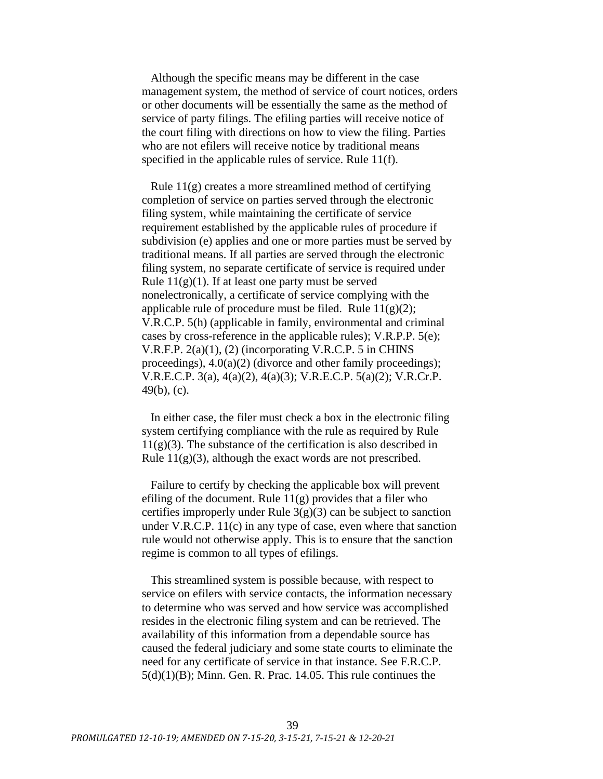Although the specific means may be different in the case management system, the method of service of court notices, orders or other documents will be essentially the same as the method of service of party filings. The efiling parties will receive notice of the court filing with directions on how to view the filing. Parties who are not efilers will receive notice by traditional means specified in the applicable rules of service. Rule 11(f).

Rule 11(g) creates a more streamlined method of certifying completion of service on parties served through the electronic filing system, while maintaining the certificate of service requirement established by the applicable rules of procedure if subdivision (e) applies and one or more parties must be served by traditional means. If all parties are served through the electronic filing system, no separate certificate of service is required under Rule  $11(g)(1)$ . If at least one party must be served nonelectronically, a certificate of service complying with the applicable rule of procedure must be filed. Rule  $11(g)(2)$ ; V.R.C.P. 5(h) (applicable in family, environmental and criminal cases by cross-reference in the applicable rules); V.R.P.P. 5(e); V.R.F.P. 2(a)(1), (2) (incorporating V.R.C.P. 5 in CHINS proceedings),  $4.0(a)(2)$  (divorce and other family proceedings); V.R.E.C.P. 3(a), 4(a)(2), 4(a)(3); V.R.E.C.P. 5(a)(2); V.R.Cr.P. 49(b), (c).

In either case, the filer must check a box in the electronic filing system certifying compliance with the rule as required by Rule  $11(g)(3)$ . The substance of the certification is also described in Rule  $11(g)(3)$ , although the exact words are not prescribed.

Failure to certify by checking the applicable box will prevent efiling of the document. Rule  $11(g)$  provides that a filer who certifies improperly under Rule  $3(g)(3)$  can be subject to sanction under V.R.C.P. 11(c) in any type of case, even where that sanction rule would not otherwise apply. This is to ensure that the sanction regime is common to all types of efilings.

This streamlined system is possible because, with respect to service on efilers with service contacts, the information necessary to determine who was served and how service was accomplished resides in the electronic filing system and can be retrieved. The availability of this information from a dependable source has caused the federal judiciary and some state courts to eliminate the need for any certificate of service in that instance. See F.R.C.P.  $5(d)(1)(B)$ ; Minn. Gen. R. Prac. 14.05. This rule continues the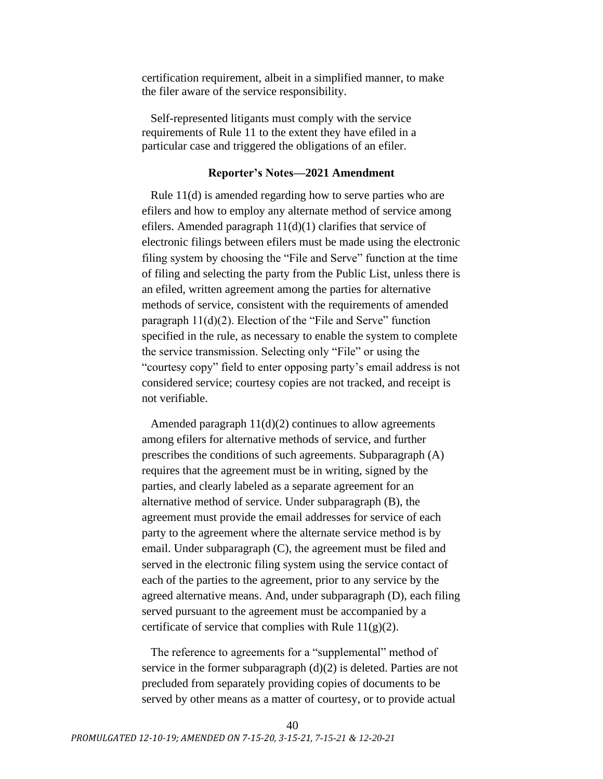certification requirement, albeit in a simplified manner, to make the filer aware of the service responsibility.

Self-represented litigants must comply with the service requirements of Rule 11 to the extent they have efiled in a particular case and triggered the obligations of an efiler.

## **Reporter's Notes—2021 Amendment**

Rule 11(d) is amended regarding how to serve parties who are efilers and how to employ any alternate method of service among efilers. Amended paragraph 11(d)(1) clarifies that service of electronic filings between efilers must be made using the electronic filing system by choosing the "File and Serve" function at the time of filing and selecting the party from the Public List, unless there is an efiled, written agreement among the parties for alternative methods of service, consistent with the requirements of amended paragraph  $11(d)(2)$ . Election of the "File and Serve" function specified in the rule, as necessary to enable the system to complete the service transmission. Selecting only "File" or using the "courtesy copy" field to enter opposing party's email address is not considered service; courtesy copies are not tracked, and receipt is not verifiable.

Amended paragraph  $11(d)(2)$  continues to allow agreements among efilers for alternative methods of service, and further prescribes the conditions of such agreements. Subparagraph (A) requires that the agreement must be in writing, signed by the parties, and clearly labeled as a separate agreement for an alternative method of service. Under subparagraph (B), the agreement must provide the email addresses for service of each party to the agreement where the alternate service method is by email. Under subparagraph (C), the agreement must be filed and served in the electronic filing system using the service contact of each of the parties to the agreement, prior to any service by the agreed alternative means. And, under subparagraph (D), each filing served pursuant to the agreement must be accompanied by a certificate of service that complies with Rule  $11(g)(2)$ .

The reference to agreements for a "supplemental" method of service in the former subparagraph (d)(2) is deleted. Parties are not precluded from separately providing copies of documents to be served by other means as a matter of courtesy, or to provide actual

40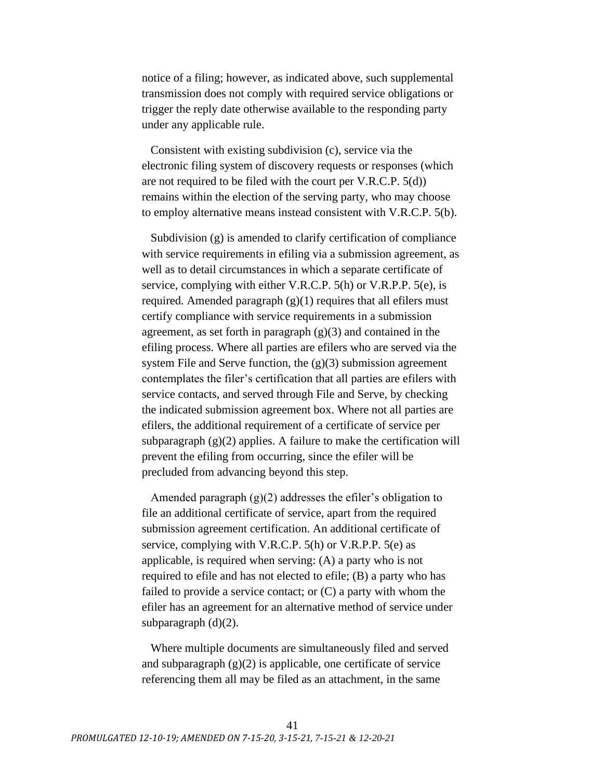notice of a filing; however, as indicated above, such supplemental transmission does not comply with required service obligations or trigger the reply date otherwise available to the responding party under any applicable rule.

Consistent with existing subdivision (c), service via the electronic filing system of discovery requests or responses (which are not required to be filed with the court per V.R.C.P. 5(d)) remains within the election of the serving party, who may choose to employ alternative means instead consistent with V.R.C.P. 5(b).

Subdivision (g) is amended to clarify certification of compliance with service requirements in efiling via a submission agreement, as well as to detail circumstances in which a separate certificate of service, complying with either V.R.C.P. 5(h) or V.R.P.P. 5(e), is required. Amended paragraph (g)(1) requires that all efilers must certify compliance with service requirements in a submission agreement, as set forth in paragraph  $(g)(3)$  and contained in the efiling process. Where all parties are efilers who are served via the system File and Serve function, the  $(g)(3)$  submission agreement contemplates the filer's certification that all parties are efilers with service contacts, and served through File and Serve, by checking the indicated submission agreement box. Where not all parties are efilers, the additional requirement of a certificate of service per subparagraph  $(g)(2)$  applies. A failure to make the certification will prevent the efiling from occurring, since the efiler will be precluded from advancing beyond this step.

Amended paragraph (g)(2) addresses the efiler's obligation to file an additional certificate of service, apart from the required submission agreement certification. An additional certificate of service, complying with V.R.C.P. 5(h) or V.R.P.P. 5(e) as applicable, is required when serving: (A) a party who is not required to efile and has not elected to efile; (B) a party who has failed to provide a service contact; or (C) a party with whom the efiler has an agreement for an alternative method of service under subparagraph (d)(2).

Where multiple documents are simultaneously filed and served and subparagraph  $(g)(2)$  is applicable, one certificate of service referencing them all may be filed as an attachment, in the same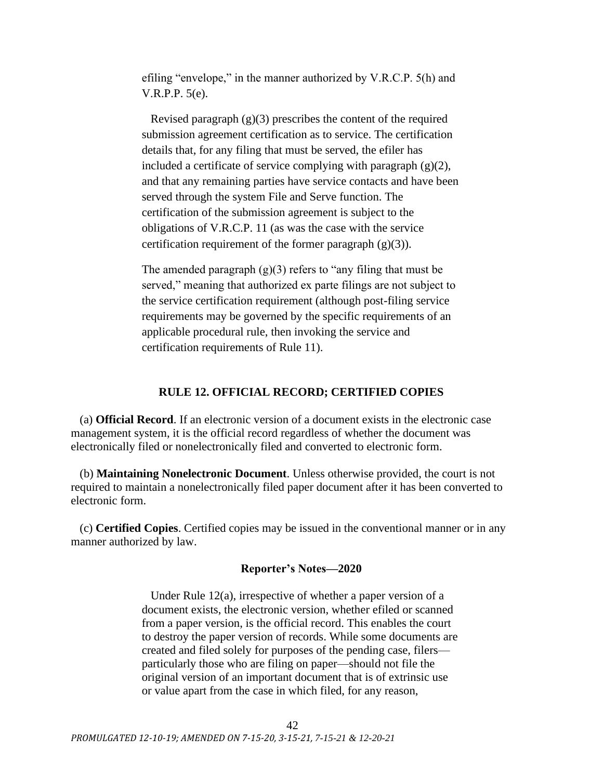efiling "envelope," in the manner authorized by V.R.C.P. 5(h) and V.R.P.P. 5(e).

Revised paragraph  $(g)(3)$  prescribes the content of the required submission agreement certification as to service. The certification details that, for any filing that must be served, the efiler has included a certificate of service complying with paragraph  $(g)(2)$ , and that any remaining parties have service contacts and have been served through the system File and Serve function. The certification of the submission agreement is subject to the obligations of V.R.C.P. 11 (as was the case with the service certification requirement of the former paragraph  $(g)(3)$ ).

The amended paragraph  $(g)(3)$  refers to "any filing that must be served," meaning that authorized ex parte filings are not subject to the service certification requirement (although post-filing service requirements may be governed by the specific requirements of an applicable procedural rule, then invoking the service and certification requirements of Rule 11).

## **RULE 12. OFFICIAL RECORD; CERTIFIED COPIES**

<span id="page-41-0"></span>(a) **Official Record**. If an electronic version of a document exists in the electronic case management system, it is the official record regardless of whether the document was electronically filed or nonelectronically filed and converted to electronic form.

(b) **Maintaining Nonelectronic Document**. Unless otherwise provided, the court is not required to maintain a nonelectronically filed paper document after it has been converted to electronic form.

(c) **Certified Copies**. Certified copies may be issued in the conventional manner or in any manner authorized by law.

### **Reporter's Notes—2020**

Under Rule 12(a), irrespective of whether a paper version of a document exists, the electronic version, whether efiled or scanned from a paper version, is the official record. This enables the court to destroy the paper version of records. While some documents are created and filed solely for purposes of the pending case, filers particularly those who are filing on paper—should not file the original version of an important document that is of extrinsic use or value apart from the case in which filed, for any reason,